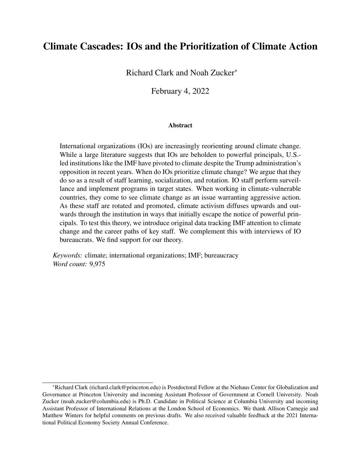### Climate Cascades: IOs and the Prioritization of Climate Action

Richard Clark and Noah Zucker\*

February 4, 2022

#### **Abstract**

International organizations (IOs) are increasingly reorienting around climate change. While a large literature suggests that IOs are beholden to powerful principals, U.S. led institutions like the IMF have pivoted to climate despite the Trump administration's opposition in recent years. When do IOs prioritize climate change? We argue that they do so as a result of staff learning, socialization, and rotation. IO staff perform surveillance and implement programs in target states. When working in climate-vulnerable countries, they come to see climate change as an issue warranting aggressive action. As these staff are rotated and promoted, climate activism diffuses upwards and outwards through the institution in ways that initially escape the notice of powerful principals. To test this theory, we introduce original data tracking IMF attention to climate change and the career paths of key staff. We complement this with interviews of IO bureaucrats. We find support for our theory.

*Keywords:* climate; international organizations; IMF; bureaucracy *Word count:* 9,975

<sup>\*</sup>Richard Clark (richard.clark@princeton.edu) is Postdoctoral Fellow at the Niehaus Center for Globalization and Governance at Princeton University and incoming Assistant Professor of Government at Cornell University. Noah Zucker (noah.zucker@columbia.edu) is Ph.D. Candidate in Political Science at Columbia University and incoming Assistant Professor of International Relations at the London School of Economics. We thank Allison Carnegie and Matthew Winters for helpful comments on previous drafts. We also received valuable feedback at the 2021 International Political Economy Society Annual Conference.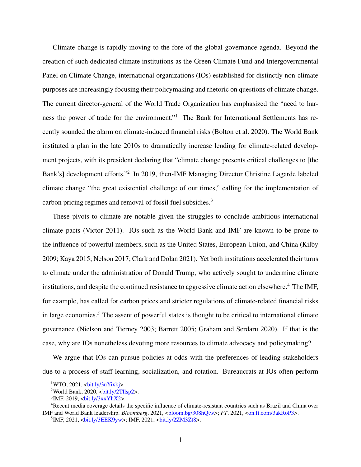Climate change is rapidly moving to the fore of the global governance agenda. Beyond the creation of such dedicated climate institutions as the Green Climate Fund and Intergovernmental Panel on Climate Change, international organizations (IOs) established for distinctly non-climate purposes are increasingly focusing their policymaking and rhetoric on questions of climate change. The current director-general of the World Trade Organization has emphasized the "need to harness the power of trade for the environment."[1](#page-1-0) The Bank for International Settlements has recently sounded the alarm on climate-induced financial risks [\(Bolton et al.](#page-28-0) [2020\)](#page-28-0). The World Bank instituted a plan in the late 2010s to dramatically increase lending for climate-related development projects, with its president declaring that "climate change presents critical challenges to [the Bank's] development efforts."<sup>[2](#page-1-1)</sup> In 2019, then-IMF Managing Director Christine Lagarde labeled climate change "the great existential challenge of our times," calling for the implementation of carbon pricing regimes and removal of fossil fuel subsidies.[3](#page-1-2)

These pivots to climate are notable given the struggles to conclude ambitious international climate pacts [\(Victor](#page-32-0) [2011\)](#page-32-0). IOs such as the World Bank and IMF are known to be prone to the influence of powerful members, such as the United States, European Union, and China [\(Kilby](#page-31-0) [2009;](#page-31-0) [Kaya](#page-30-0) [2015;](#page-30-0) [Nelson](#page-31-1) [2017;](#page-31-1) [Clark and Dolan](#page-29-0) [2021\)](#page-29-0). Yet both institutions accelerated their turns to climate under the administration of Donald Trump, who actively sought to undermine climate institutions, and despite the continued resistance to aggressive climate action elsewhere.<sup>[4](#page-1-3)</sup> The IMF, for example, has called for carbon prices and stricter regulations of climate-related financial risks in large economies.<sup>[5](#page-1-4)</sup> The assent of powerful states is thought to be critical to international climate governance [\(Nielson and Tierney](#page-31-2) [2003;](#page-31-2) [Barrett](#page-28-1) [2005;](#page-28-1) [Graham and Serdaru](#page-30-1) [2020\)](#page-30-1). If that is the case, why are IOs nonetheless devoting more resources to climate advocacy and policymaking?

We argue that IOs can pursue policies at odds with the preferences of leading stakeholders due to a process of staff learning, socialization, and rotation. Bureaucrats at IOs often perform

<span id="page-1-0"></span> $1$ WTO, 2021,  $\frac{\text{bit.1y/3uYixk}}{2}$ .

<span id="page-1-1"></span> $2$ World Bank, 2020,  $\frac{\text{bit.1y}}{2}$ Illsp2>.

<span id="page-1-3"></span><span id="page-1-2"></span> $3$ IMF, 2019,  $\frac{\text{bit.ly/3xxYhX2}}{.}$ 

<sup>&</sup>lt;sup>4</sup>Recent media coverage details the specific influence of climate-resistant countries such as Brazil and China over IMF and World Bank leadership. *Bloomberg*, 2021, [<bloom.bg/308hQtw>](https://bloom.bg/308hQtw); *FT*, 2021, [<on.ft.com/3akRoP3>](https://on.ft.com/3akRoP3).

<span id="page-1-4"></span><sup>&</sup>lt;sup>5</sup>IMF, 2021, <br/> <br/> <br/> <br/> <br/>
iMF, 2021, <br/> <br/> <br/> <br/>
iMF, 2021, <br/> <<br/>
iMF, 2021, <br/> <<br/>
iMF, 2021, <br/> <<br/>
iMF, 2021, <br/> <br/> <br/> <br/> <br/> <br/> <br/> <br/> <br/> <br/>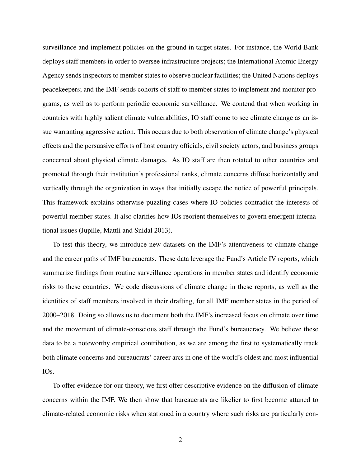surveillance and implement policies on the ground in target states. For instance, the World Bank deploys staff members in order to oversee infrastructure projects; the International Atomic Energy Agency sends inspectors to member states to observe nuclear facilities; the United Nations deploys peacekeepers; and the IMF sends cohorts of staff to member states to implement and monitor programs, as well as to perform periodic economic surveillance. We contend that when working in countries with highly salient climate vulnerabilities, IO staff come to see climate change as an issue warranting aggressive action. This occurs due to both observation of climate change's physical effects and the persuasive efforts of host country officials, civil society actors, and business groups concerned about physical climate damages. As IO staff are then rotated to other countries and promoted through their institution's professional ranks, climate concerns diffuse horizontally and vertically through the organization in ways that initially escape the notice of powerful principals. This framework explains otherwise puzzling cases where IO policies contradict the interests of powerful member states. It also clarifies how IOs reorient themselves to govern emergent international issues [\(Jupille, Mattli and Snidal](#page-30-2) [2013\)](#page-30-2).

To test this theory, we introduce new datasets on the IMF's attentiveness to climate change and the career paths of IMF bureaucrats. These data leverage the Fund's Article IV reports, which summarize findings from routine surveillance operations in member states and identify economic risks to these countries. We code discussions of climate change in these reports, as well as the identities of staff members involved in their drafting, for all IMF member states in the period of 2000–2018. Doing so allows us to document both the IMF's increased focus on climate over time and the movement of climate-conscious staff through the Fund's bureaucracy. We believe these data to be a noteworthy empirical contribution, as we are among the first to systematically track both climate concerns and bureaucrats' career arcs in one of the world's oldest and most influential IOs.

To offer evidence for our theory, we first offer descriptive evidence on the diffusion of climate concerns within the IMF. We then show that bureaucrats are likelier to first become attuned to climate-related economic risks when stationed in a country where such risks are particularly con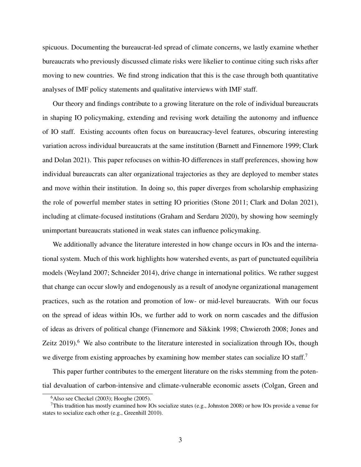spicuous. Documenting the bureaucrat-led spread of climate concerns, we lastly examine whether bureaucrats who previously discussed climate risks were likelier to continue citing such risks after moving to new countries. We find strong indication that this is the case through both quantitative analyses of IMF policy statements and qualitative interviews with IMF staff.

Our theory and findings contribute to a growing literature on the role of individual bureaucrats in shaping IO policymaking, extending and revising work detailing the autonomy and influence of IO staff. Existing accounts often focus on bureaucracy-level features, obscuring interesting variation across individual bureaucrats at the same institution [\(Barnett and Finnemore](#page-28-2) [1999;](#page-28-2) [Clark](#page-29-0) [and Dolan](#page-29-0) [2021\)](#page-29-0). This paper refocuses on within-IO differences in staff preferences, showing how individual bureaucrats can alter organizational trajectories as they are deployed to member states and move within their institution. In doing so, this paper diverges from scholarship emphasizing the role of powerful member states in setting IO priorities [\(Stone](#page-31-3) [2011;](#page-31-3) [Clark and Dolan](#page-29-0) [2021\)](#page-29-0), including at climate-focused institutions [\(Graham and Serdaru](#page-30-1) [2020\)](#page-30-1), by showing how seemingly unimportant bureaucrats stationed in weak states can influence policymaking.

We additionally advance the literature interested in how change occurs in IOs and the international system. Much of this work highlights how watershed events, as part of punctuated equilibria models [\(Weyland](#page-32-1) [2007;](#page-32-1) [Schneider](#page-31-4) [2014\)](#page-31-4), drive change in international politics. We rather suggest that change can occur slowly and endogenously as a result of anodyne organizational management practices, such as the rotation and promotion of low- or mid-level bureaucrats. With our focus on the spread of ideas within IOs, we further add to work on norm cascades and the diffusion of ideas as drivers of political change [\(Finnemore and Sikkink](#page-29-1) [1998;](#page-29-1) [Chwieroth](#page-29-2) [2008;](#page-29-2) [Jones and](#page-30-3) [Zeitz](#page-30-3)  $2019$ <sup>[6](#page-3-0)</sup>. We also contribute to the literature interested in socialization through IOs, though we diverge from existing approaches by examining how member states can socialize IO staff.<sup>[7](#page-3-1)</sup>

This paper further contributes to the emergent literature on the risks stemming from the potential devaluation of carbon-intensive and climate-vulnerable economic assets [\(Colgan, Green and](#page-29-3)

<span id="page-3-1"></span><span id="page-3-0"></span> $6$ [Also see](#page-29-3) [Checkel](#page-28-3) [\(2003\)](#page-28-3); [Hooghe](#page-30-4) [\(2005\)](#page-30-4).

<sup>&</sup>lt;sup>7</sup>[This tradition has mostly examined how IOs socialize states \(e.g.,](#page-29-3) [Johnston](#page-30-5) [2008\)](#page-30-5) or how IOs provide a venue for [states to socialize each other \(e.g.,](#page-29-3) [Greenhill](#page-30-6) [2010\)](#page-30-6).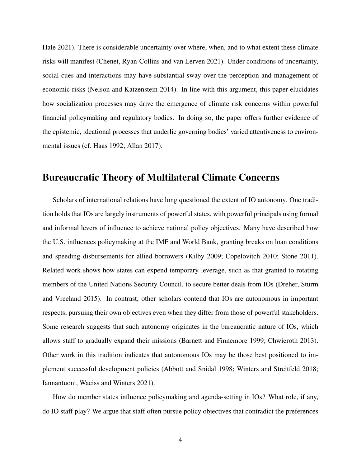[Hale](#page-29-3) [2021\)](#page-29-3). There is considerable uncertainty over where, when, and to what extent these climate risks will manifest [\(Chenet, Ryan-Collins and van Lerven](#page-29-4) [2021\)](#page-29-4). Under conditions of uncertainty, social cues and interactions may have substantial sway over the perception and management of economic risks [\(Nelson and Katzenstein](#page-31-5) [2014\)](#page-31-5). In line with this argument, this paper elucidates how socialization processes may drive the emergence of climate risk concerns within powerful financial policymaking and regulatory bodies. In doing so, the paper offers further evidence of the epistemic, ideational processes that underlie governing bodies' varied attentiveness to environmental issues (cf. [Haas](#page-30-7) [1992;](#page-30-7) [Allan](#page-28-4) [2017\)](#page-28-4).

### Bureaucratic Theory of Multilateral Climate Concerns

Scholars of international relations have long questioned the extent of IO autonomy. One tradition holds that IOs are largely instruments of powerful states, with powerful principals using formal and informal levers of influence to achieve national policy objectives. Many have described how the U.S. influences policymaking at the IMF and World Bank, granting breaks on loan conditions and speeding disbursements for allied borrowers [\(Kilby](#page-31-0) [2009;](#page-31-0) [Copelovitch](#page-29-5) [2010;](#page-29-5) [Stone](#page-31-3) [2011\)](#page-31-3). Related work shows how states can expend temporary leverage, such as that granted to rotating members of the United Nations Security Council, to secure better deals from IOs [\(Dreher, Sturm](#page-29-6) [and Vreeland](#page-29-6) [2015\)](#page-29-6). In contrast, other scholars contend that IOs are autonomous in important respects, pursuing their own objectives even when they differ from those of powerful stakeholders. Some research suggests that such autonomy originates in the bureaucratic nature of IOs, which allows staff to gradually expand their missions [\(Barnett and Finnemore](#page-28-2) [1999;](#page-28-2) [Chwieroth](#page-29-7) [2013\)](#page-29-7). Other work in this tradition indicates that autonomous IOs may be those best positioned to implement successful development policies [\(Abbott and Snidal](#page-28-5) [1998;](#page-28-5) [Winters and Streitfeld](#page-32-2) [2018;](#page-32-2) [Iannantuoni, Waeiss and Winters](#page-30-8) [2021\)](#page-30-8).

How do member states influence policymaking and agenda-setting in IOs? What role, if any, do IO staff play? We argue that staff often pursue policy objectives that contradict the preferences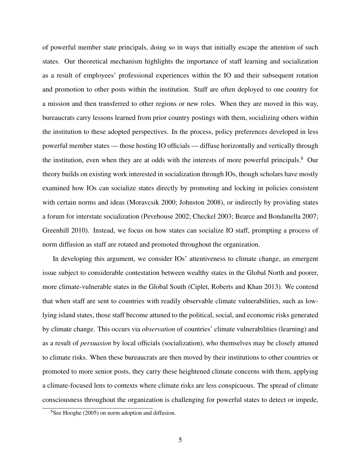of powerful member state principals, doing so in ways that initially escape the attention of such states. Our theoretical mechanism highlights the importance of staff learning and socialization as a result of employees' professional experiences within the IO and their subsequent rotation and promotion to other posts within the institution. Staff are often deployed to one country for a mission and then transferred to other regions or new roles. When they are moved in this way, bureaucrats carry lessons learned from prior country postings with them, socializing others within the institution to these adopted perspectives. In the process, policy preferences developed in less powerful member states — those hosting IO officials — diffuse horizontally and vertically through the institution, even when they are at odds with the interests of more powerful principals.<sup>[8](#page-5-0)</sup> Our theory builds on existing work interested in socialization through IOs, though scholars have mostly examined how IOs can socialize states directly by promoting and locking in policies consistent with certain norms and ideas [\(Moravcsik](#page-31-6) [2000;](#page-31-6) [Johnston](#page-30-5) [2008\)](#page-30-5), or indirectly by providing states a forum for interstate socialization [\(Pevehouse](#page-31-7) [2002;](#page-31-7) [Checkel](#page-28-3) [2003;](#page-28-3) [Bearce and Bondanella](#page-28-6) [2007;](#page-28-6) [Greenhill](#page-30-6) [2010\)](#page-30-6). Instead, we focus on how states can socialize IO staff, prompting a process of norm diffusion as staff are rotated and promoted throughout the organization.

In developing this argument, we consider IOs' attentiveness to climate change, an emergent issue subject to considerable contestation between wealthy states in the Global North and poorer, more climate-vulnerable states in the Global South [\(Ciplet, Roberts and Khan](#page-29-8) [2013\)](#page-29-8). We contend that when staff are sent to countries with readily observable climate vulnerabilities, such as lowlying island states, those staff become attuned to the political, social, and economic risks generated by climate change. This occurs via *observation* of countries' climate vulnerabilities (learning) and as a result of *persuasion* by local officials (socialization), who themselves may be closely attuned to climate risks. When these bureaucrats are then moved by their institutions to other countries or promoted to more senior posts, they carry these heightened climate concerns with them, applying a climate-focused lens to contexts where climate risks are less conspicuous. The spread of climate consciousness throughout the organization is challenging for powerful states to detect or impede,

<span id="page-5-0"></span><sup>8</sup>See [Hooghe](#page-30-4) [\(2005\)](#page-30-4) on norm adoption and diffusion.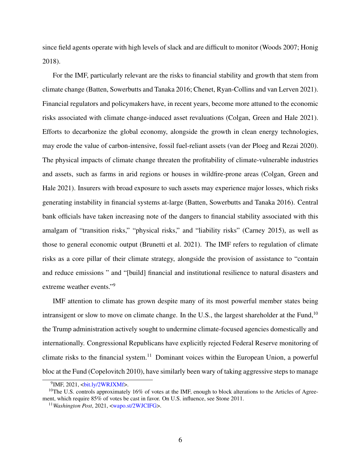since field agents operate with high levels of slack and are difficult to monitor [\(Woods](#page-32-3) [2007;](#page-32-3) [Honig](#page-30-9) [2018\)](#page-30-9).

For the IMF, particularly relevant are the risks to financial stability and growth that stem from climate change [\(Batten, Sowerbutts and Tanaka](#page-28-7) [2016;](#page-28-7) [Chenet, Ryan-Collins and van Lerven](#page-29-4) [2021\)](#page-29-4). Financial regulators and policymakers have, in recent years, become more attuned to the economic risks associated with climate change-induced asset revaluations [\(Colgan, Green and Hale](#page-29-3) [2021\)](#page-29-3). Efforts to decarbonize the global economy, alongside the growth in clean energy technologies, may erode the value of carbon-intensive, fossil fuel-reliant assets [\(van der Ploeg and Rezai](#page-31-8) [2020\)](#page-31-8). The physical impacts of climate change threaten the profitability of climate-vulnerable industries and assets, such as farms in arid regions or houses in wildfire-prone areas [\(Colgan, Green and](#page-29-3) [Hale](#page-29-3) [2021\)](#page-29-3). Insurers with broad exposure to such assets may experience major losses, which risks generating instability in financial systems at-large [\(Batten, Sowerbutts and Tanaka](#page-28-7) [2016\)](#page-28-7). Central bank officials have taken increasing note of the dangers to financial stability associated with this amalgam of "transition risks," "physical risks," and "liability risks" [\(Carney](#page-28-8) [2015\)](#page-28-8), as well as those to general economic output [\(Brunetti et al.](#page-28-9) [2021\)](#page-28-9). The IMF refers to regulation of climate risks as a core pillar of their climate strategy, alongside the provision of assistance to "contain and reduce emissions " and "[build] financial and institutional resilience to natural disasters and extreme weather events."[9](#page-6-0)

IMF attention to climate has grown despite many of its most powerful member states being intransigent or slow to move on climate change. In the U.S., the largest shareholder at the Fund,  $10$ the Trump administration actively sought to undermine climate-focused agencies domestically and internationally. Congressional Republicans have explicitly rejected Federal Reserve monitoring of climate risks to the financial system.<sup>[11](#page-6-2)</sup> Dominant voices within the European Union, a powerful bloc at the Fund [\(Copelovitch](#page-29-5) [2010\)](#page-29-5), have similarly been wary of taking aggressive steps to manage

<span id="page-6-1"></span><span id="page-6-0"></span><sup>&</sup>lt;sup>9</sup>IMF, 2021, <br/>bit.ly/2WRJXMf>.

<sup>&</sup>lt;sup>10</sup>The U.S. controls approximately 16% of votes at the IMF, enough to block alterations to the Articles of Agreement, which require 85% of votes be cast in favor. On U.S. influence, see [Stone](#page-31-3) [2011.](#page-31-3)

<span id="page-6-2"></span><sup>11</sup>*Washington Post*, 2021, [<wapo.st/2WJCIFG>](https://wapo.st/2WJCIFG).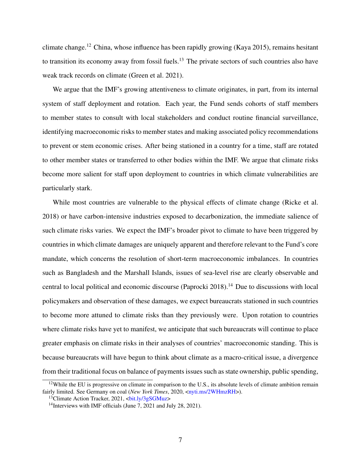climate change.<sup>[12](#page-7-0)</sup> China, whose influence has been rapidly growing [\(Kaya](#page-30-0) [2015\)](#page-30-0), remains hesitant to transition its economy away from fossil fuels.<sup>[13](#page-7-1)</sup> The private sectors of such countries also have weak track records on climate [\(Green et al.](#page-30-10) [2021\)](#page-30-10).

We argue that the IMF's growing attentiveness to climate originates, in part, from its internal system of staff deployment and rotation. Each year, the Fund sends cohorts of staff members to member states to consult with local stakeholders and conduct routine financial surveillance, identifying macroeconomic risks to member states and making associated policy recommendations to prevent or stem economic crises. After being stationed in a country for a time, staff are rotated to other member states or transferred to other bodies within the IMF. We argue that climate risks become more salient for staff upon deployment to countries in which climate vulnerabilities are particularly stark.

While most countries are vulnerable to the physical effects of climate change [\(Ricke et al.](#page-31-9) [2018\)](#page-31-9) or have carbon-intensive industries exposed to decarbonization, the immediate salience of such climate risks varies. We expect the IMF's broader pivot to climate to have been triggered by countries in which climate damages are uniquely apparent and therefore relevant to the Fund's core mandate, which concerns the resolution of short-term macroeconomic imbalances. In countries such as Bangladesh and the Marshall Islands, issues of sea-level rise are clearly observable and central to local political and economic discourse [\(Paprocki](#page-31-10) [2018\)](#page-31-10).[14](#page-7-2) Due to discussions with local policymakers and observation of these damages, we expect bureaucrats stationed in such countries to become more attuned to climate risks than they previously were. Upon rotation to countries where climate risks have yet to manifest, we anticipate that such bureaucrats will continue to place greater emphasis on climate risks in their analyses of countries' macroeconomic standing. This is because bureaucrats will have begun to think about climate as a macro-critical issue, a divergence from their traditional focus on balance of payments issues such as state ownership, public spending,

<span id="page-7-0"></span><sup>&</sup>lt;sup>12</sup>While the EU is progressive on climate in comparison to the U.S., its absolute levels of climate ambition remain fairly limited. See Germany on coal (*New York Times*, 2020, [<nyti.ms/2WHmzRH>](https://nyti.ms/2WHmzRH)).

<span id="page-7-1"></span><sup>&</sup>lt;sup>13</sup>Climate Action Tracker, 2021, <br/> <br/> <br/> <br/> <br/> <br/> <br/> <br/> <br/> <br/> <<br/> <<br/>
13GMuz>

<span id="page-7-2"></span><sup>&</sup>lt;sup>14</sup>Interviews with IMF officials (June  $7, 2021$  and July 28, 2021).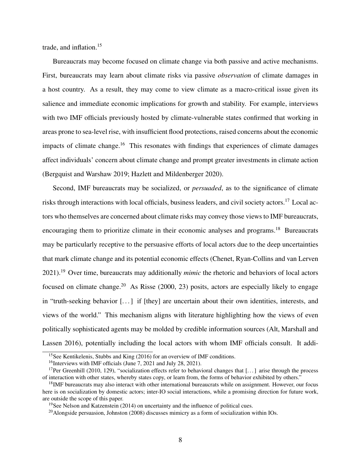trade, and inflation. $15$ 

Bureaucrats may become focused on climate change via both passive and active mechanisms. First, bureaucrats may learn about climate risks via passive *observation* of climate damages in a host country. As a result, they may come to view climate as a macro-critical issue given its salience and immediate economic implications for growth and stability. For example, interviews with two IMF officials previously hosted by climate-vulnerable states confirmed that working in areas prone to sea-level rise, with insufficient flood protections, raised concerns about the economic impacts of climate change.<sup>[16](#page-8-1)</sup> This resonates with findings that experiences of climate damages affect individuals' concern about climate change and prompt greater investments in climate action [\(Bergquist and Warshaw](#page-28-10) [2019;](#page-28-10) [Hazlett and Mildenberger](#page-30-11) [2020\)](#page-30-11).

Second, IMF bureaucrats may be socialized, or *persuaded*, as to the significance of climate risks through interactions with local officials, business leaders, and civil society actors.[17](#page-8-2) Local actors who themselves are concerned about climate risks may convey those views to IMF bureaucrats, encouraging them to prioritize climate in their economic analyses and programs.<sup>[18](#page-8-3)</sup> Bureaucrats may be particularly receptive to the persuasive efforts of local actors due to the deep uncertainties that mark climate change and its potential economic effects [\(Chenet, Ryan-Collins and van Lerven](#page-29-4) [2021\)](#page-29-4).[19](#page-8-4) Over time, bureaucrats may additionally *mimic* the rhetoric and behaviors of local actors focused on climate change.<sup>[20](#page-8-5)</sup> As [Risse](#page-31-11) [\(2000,](#page-31-11) 23) posits, actors are especially likely to engage in "truth-seeking behavior [. . . ] if [they] are uncertain about their own identities, interests, and views of the world." This mechanism aligns with literature highlighting how the views of even politically sophisticated agents may be molded by credible information sources [\(Alt, Marshall and](#page-28-11) [Lassen](#page-28-11) [2016\)](#page-28-11), potentially including the local actors with whom IMF officials consult. It addi-

<span id="page-8-0"></span><sup>&</sup>lt;sup>15</sup>See [Kentikelenis, Stubbs and King](#page-30-12) [\(2016\)](#page-30-12) for an overview of IMF conditions.

<span id="page-8-2"></span><span id="page-8-1"></span><sup>&</sup>lt;sup>16</sup>Interviews with IMF officials (June 7, 2021 and July 28, 2021).

<sup>&</sup>lt;sup>17</sup>Per [Greenhill](#page-30-6) [\(2010,](#page-30-6) 129), "socialization effects refer to behavioral changes that [...] arise through the process of interaction with other states, whereby states copy, or learn from, the forms of behavior exhibited by others."

<span id="page-8-3"></span><sup>&</sup>lt;sup>18</sup>IMF bureaucrats may also interact with other international bureaucrats while on assignment. However, our focus here is on socialization by domestic actors; inter-IO social interactions, while a promising direction for future work, are outside the scope of this paper.

<span id="page-8-4"></span><sup>&</sup>lt;sup>19</sup>See [Nelson and Katzenstein](#page-31-5) [\(2014\)](#page-31-5) on uncertainty and the influence of political cues.

<span id="page-8-5"></span> $^{20}$ Alongside persuasion, [Johnston](#page-30-5) [\(2008\)](#page-30-5) discusses mimicry as a form of socialization within IOs.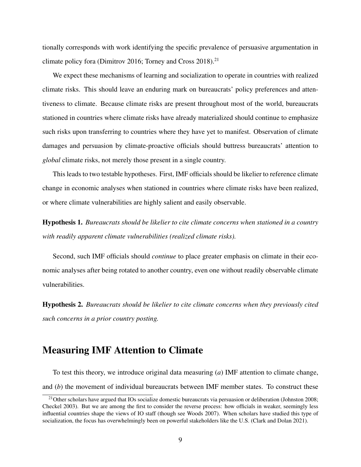tionally corresponds with work identifying the specific prevalence of persuasive argumentation in climate policy fora [\(Dimitrov](#page-29-9) [2016;](#page-29-9) [Torney and Cross](#page-31-12) [2018\)](#page-31-12).<sup>[21](#page-9-0)</sup>

We expect these mechanisms of learning and socialization to operate in countries with realized climate risks. This should leave an enduring mark on bureaucrats' policy preferences and attentiveness to climate. Because climate risks are present throughout most of the world, bureaucrats stationed in countries where climate risks have already materialized should continue to emphasize such risks upon transferring to countries where they have yet to manifest. Observation of climate damages and persuasion by climate-proactive officials should buttress bureaucrats' attention to *global* climate risks, not merely those present in a single country.

This leads to two testable hypotheses. First, IMF officials should be likelier to reference climate change in economic analyses when stationed in countries where climate risks have been realized, or where climate vulnerabilities are highly salient and easily observable.

Hypothesis 1. *Bureaucrats should be likelier to cite climate concerns when stationed in a country with readily apparent climate vulnerabilities (realized climate risks).*

Second, such IMF officials should *continue* to place greater emphasis on climate in their economic analyses after being rotated to another country, even one without readily observable climate vulnerabilities.

Hypothesis 2. *Bureaucrats should be likelier to cite climate concerns when they previously cited such concerns in a prior country posting.*

### Measuring IMF Attention to Climate

To test this theory, we introduce original data measuring (*a*) IMF attention to climate change, and (*b*) the movement of individual bureaucrats between IMF member states. To construct these

<span id="page-9-0"></span><sup>&</sup>lt;sup>21</sup>Other scholars have argued that IOs socialize domestic bureaucrats via persuasion or deliberation [\(Johnston](#page-30-5) [2008;](#page-30-5) [Checkel](#page-28-3) [2003\)](#page-28-3). But we are among the first to consider the reverse process: how officials in weaker, seemingly less influential countries shape the views of IO staff (though see [Woods](#page-32-3) [2007\)](#page-32-3). When scholars have studied this type of socialization, the focus has overwhelmingly been on powerful stakeholders like the U.S. [\(Clark and Dolan](#page-29-0) [2021\)](#page-29-0).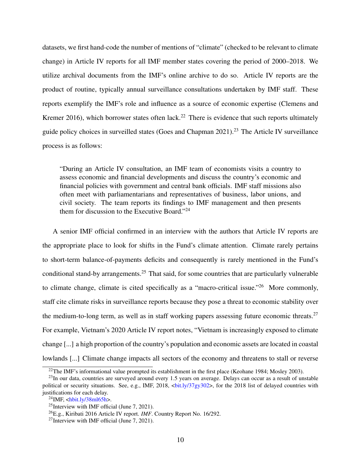datasets, we first hand-code the number of mentions of "climate" (checked to be relevant to climate change) in Article IV reports for all IMF member states covering the period of 2000–2018. We utilize archival documents from the IMF's online archive to do so. Article IV reports are the product of routine, typically annual surveillance consultations undertaken by IMF staff. These reports exemplify the IMF's role and influence as a source of economic expertise [\(Clemens and](#page-29-10) [Kremer](#page-29-10) [2016\)](#page-29-10), which borrower states often lack.<sup>[22](#page-10-0)</sup> There is evidence that such reports ultimately guide policy choices in surveilled states [\(Goes and Chapman](#page-29-11) [2021\)](#page-29-11).[23](#page-10-1) The Article IV surveillance process is as follows:

"During an Article IV consultation, an IMF team of economists visits a country to assess economic and financial developments and discuss the country's economic and financial policies with government and central bank officials. IMF staff missions also often meet with parliamentarians and representatives of business, labor unions, and civil society. The team reports its findings to IMF management and then presents them for discussion to the Executive Board."[24](#page-10-2)

A senior IMF official confirmed in an interview with the authors that Article IV reports are the appropriate place to look for shifts in the Fund's climate attention. Climate rarely pertains to short-term balance-of-payments deficits and consequently is rarely mentioned in the Fund's conditional stand-by arrangements.[25](#page-10-3) That said, for some countries that are particularly vulnerable to climate change, climate is cited specifically as a "macro-critical issue."<sup>[26](#page-10-4)</sup> More commonly, staff cite climate risks in surveillance reports because they pose a threat to economic stability over the medium-to-long term, as well as in staff working papers assessing future economic threats.<sup>[27](#page-10-5)</sup> For example, Vietnam's 2020 Article IV report notes, "Vietnam is increasingly exposed to climate change [...] a high proportion of the country's population and economic assets are located in coastal lowlands [...] Climate change impacts all sectors of the economy and threatens to stall or reverse

<span id="page-10-1"></span><span id="page-10-0"></span> $22$ The IMF's informational value prompted its establishment in the first place [\(Keohane](#page-30-13) [1984;](#page-30-13) [Mosley](#page-31-13) [2003\)](#page-31-13).

 $^{23}$ In our data, countries are surveyed around every 1.5 years on average. Delays can occur as a result of unstable political or security situations. See, e.g., IMF, 2018, <br/>bit.ly/37gy302>, for the 2018 list of delayed countries with justifications for each delay.

<span id="page-10-2"></span> $^{24}$ IMF,  $\langle \frac{\text{hbit.ly}}{38}$ ml65h $>$ .

<span id="page-10-3"></span><sup>&</sup>lt;sup>25</sup>Interview with IMF official (June 7, 2021).

<span id="page-10-4"></span><sup>26</sup>E.g., Kiribati 2016 Article IV report. *IMF*. Country Report No. 16/292.

<span id="page-10-5"></span><sup>&</sup>lt;sup>27</sup>Interview with IMF official (June 7, 2021).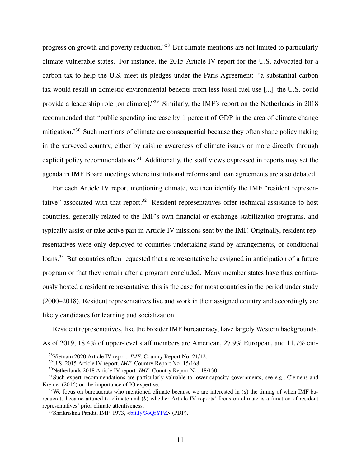progress on growth and poverty reduction."[28](#page-11-0) But climate mentions are not limited to particularly climate-vulnerable states. For instance, the 2015 Article IV report for the U.S. advocated for a carbon tax to help the U.S. meet its pledges under the Paris Agreement: "a substantial carbon tax would result in domestic environmental benefits from less fossil fuel use [...] the U.S. could provide a leadership role [on climate]."<sup>[29](#page-11-1)</sup> Similarly, the IMF's report on the Netherlands in 2018 recommended that "public spending increase by 1 percent of GDP in the area of climate change mitigation."[30](#page-11-2) Such mentions of climate are consequential because they often shape policymaking in the surveyed country, either by raising awareness of climate issues or more directly through explicit policy recommendations.<sup>[31](#page-11-3)</sup> Additionally, the staff views expressed in reports may set the agenda in IMF Board meetings where institutional reforms and loan agreements are also debated.

For each Article IV report mentioning climate, we then identify the IMF "resident represen-tative" associated with that report.<sup>[32](#page-11-4)</sup> Resident representatives offer technical assistance to host countries, generally related to the IMF's own financial or exchange stabilization programs, and typically assist or take active part in Article IV missions sent by the IMF. Originally, resident representatives were only deployed to countries undertaking stand-by arrangements, or conditional loans.<sup>[33](#page-11-5)</sup> But countries often requested that a representative be assigned in anticipation of a future program or that they remain after a program concluded. Many member states have thus continuously hosted a resident representative; this is the case for most countries in the period under study (2000–2018). Resident representatives live and work in their assigned country and accordingly are likely candidates for learning and socialization.

Resident representatives, like the broader IMF bureaucracy, have largely Western backgrounds. As of 2019, 18.4% of upper-level staff members are American, 27.9% European, and 11.7% citi-

<span id="page-11-0"></span><sup>28</sup>Vietnam 2020 Article IV report. *IMF*. Country Report No. 21/42.

<span id="page-11-1"></span><sup>29</sup>U.S. 2015 Article IV report. *IMF*. Country Report No. 15/168.

<span id="page-11-3"></span><span id="page-11-2"></span><sup>30</sup>Netherlands 2018 Article IV report. *IMF*. Country Report No. 18/130.

 $31$ Such expert recommendations are particularly valuable to lower-capacity governments; see e.g., [Clemens and](#page-29-10) [Kremer](#page-29-10) [\(2016\)](#page-29-10) on the importance of IO expertise.

<span id="page-11-4"></span><sup>&</sup>lt;sup>32</sup>We focus on bureaucrats who mentioned climate because we are interested in (*a*) the timing of when IMF bureaucrats became attuned to climate and (*b*) whether Article IV reports' focus on climate is a function of resident representatives' prior climate attentiveness.

<span id="page-11-5"></span><sup>&</sup>lt;sup>33</sup>Shrikrishna Pandit, IMF, 1973, <br/>bit.ly/3oOrYPZ> (PDF).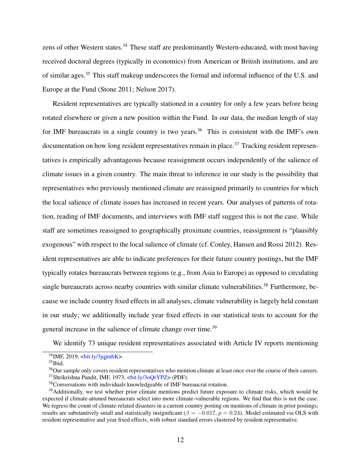zens of other Western states.<sup>[34](#page-12-0)</sup> These staff are predominantly Western-educated, with most having received doctoral degrees (typically in economics) from American or British institutions, and are of similar ages.[35](#page-12-1) This staff makeup underscores the formal and informal influence of the U.S. and Europe at the Fund [\(Stone](#page-31-3) [2011;](#page-31-3) [Nelson](#page-31-1) [2017\)](#page-31-1).

Resident representatives are typically stationed in a country for only a few years before being rotated elsewhere or given a new position within the Fund. In our data, the median length of stay for IMF bureaucrats in a single country is two years.<sup>[36](#page-12-2)</sup> This is consistent with the IMF's own documentation on how long resident representatives remain in place.<sup>[37](#page-12-3)</sup> Tracking resident representatives is empirically advantageous because reassignment occurs independently of the salience of climate issues in a given country. The main threat to inference in our study is the possibility that representatives who previously mentioned climate are reassigned primarily to countries for which the local salience of climate issues has increased in recent years. Our analyses of patterns of rotation, reading of IMF documents, and interviews with IMF staff suggest this is not the case. While staff are sometimes reassigned to geographically proximate countries, reassignment is "plausibly exogenous" with respect to the local salience of climate (cf. [Conley, Hansen and Rossi](#page-29-12) [2012\)](#page-29-12). Resident representatives are able to indicate preferences for their future country postings, but the IMF typically rotates bureaucrats between regions (e.g., from Asia to Europe) as opposed to circulating single bureaucrats across nearby countries with similar climate vulnerabilities.<sup>[38](#page-12-4)</sup> Furthermore, because we include country fixed effects in all analyses, climate vulnerability is largely held constant in our study; we additionally include year fixed effects in our statistical tests to account for the general increase in the salience of climate change over time.<sup>[39](#page-12-5)</sup>

We identify 73 unique resident representatives associated with Article IV reports mentioning

<span id="page-12-0"></span> $34$ IMF, 2019,  $\frac{\text{bit.ly}}{3q}$ jqjmhK $>$ .

<span id="page-12-1"></span> $35$ Ibid.

<span id="page-12-3"></span><span id="page-12-2"></span><sup>&</sup>lt;sup>36</sup>Our sample only covers resident representatives who mention climate at least once over the course of their careers. <sup>37</sup>Shrikrishna Pandit, IMF, 1973, [<bit.ly/3oQrYPZ>](https://bit.ly/3oQrYPZ) (PDF).

<span id="page-12-5"></span><span id="page-12-4"></span><sup>38</sup>Conversations with individuals knowledgeable of IMF bureaucrat rotation.

<sup>&</sup>lt;sup>39</sup>Additionally, we test whether prior climate mentions predict future exposure to climate risks, which would be expected if climate-attuned bureaucrats select into more climate-vulnerable regions. We find that this is not the case. We regress the count of climate-related disasters in a current country posting on mentions of climate in prior postings; results are substantively small and statistically insignificant ( $\beta = -0.017$ ,  $p = 0.24$ ). Model estimated via OLS with resident representative and year fixed effects, with robust standard errors clustered by resident representative.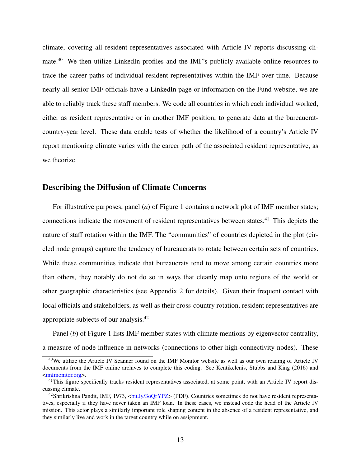climate, covering all resident representatives associated with Article IV reports discussing cli-mate.<sup>[40](#page-13-0)</sup> We then utilize LinkedIn profiles and the IMF's publicly available online resources to trace the career paths of individual resident representatives within the IMF over time. Because nearly all senior IMF officials have a LinkedIn page or information on the Fund website, we are able to reliably track these staff members. We code all countries in which each individual worked, either as resident representative or in another IMF position, to generate data at the bureaucratcountry-year level. These data enable tests of whether the likelihood of a country's Article IV report mentioning climate varies with the career path of the associated resident representative, as we theorize.

### Describing the Diffusion of Climate Concerns

For illustrative purposes, panel (*a*) of Figure [1](#page-14-0) contains a network plot of IMF member states; connections indicate the movement of resident representatives between states.<sup>[41](#page-13-1)</sup> This depicts the nature of staff rotation within the IMF. The "communities" of countries depicted in the plot (circled node groups) capture the tendency of bureaucrats to rotate between certain sets of countries. While these communities indicate that bureaucrats tend to move among certain countries more than others, they notably do not do so in ways that cleanly map onto regions of the world or other geographic characteristics (see Appendix [2](#page-34-0) for details). Given their frequent contact with local officials and stakeholders, as well as their cross-country rotation, resident representatives are appropriate subjects of our analysis.[42](#page-13-2)

Panel (*b*) of Figure [1](#page-14-0) lists IMF member states with climate mentions by eigenvector centrality, a measure of node influence in networks (connections to other high-connectivity nodes). These

<span id="page-13-0"></span><sup>40</sup>We utilize the Article IV Scanner found on the IMF Monitor website as well as our own reading of Article IV documents from the IMF online archives to complete this coding. See [Kentikelenis, Stubbs and King](#page-30-12) [\(2016\)](#page-30-12) and [<imfmonitor.org>](http://www.imfmonitor.org/).

<span id="page-13-1"></span><sup>&</sup>lt;sup>41</sup>This figure specifically tracks resident representatives associated, at some point, with an Article IV report discussing climate.

<span id="page-13-2"></span><sup>&</sup>lt;sup>42</sup>Shrikrishna Pandit, IMF, 1973, <br/>bit.ly/3oQrYPZ> (PDF). Countries sometimes do not have resident representatives, especially if they have never taken an IMF loan. In these cases, we instead code the head of the Article IV mission. This actor plays a similarly important role shaping content in the absence of a resident representative, and they similarly live and work in the target country while on assignment.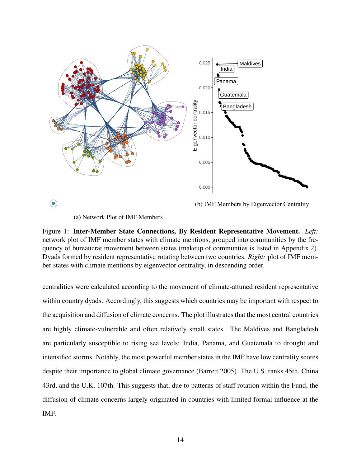<span id="page-14-0"></span>

 $\odot$ 

(b) IMF Members by Eigenvector Centrality

(a) Network Plot of IMF Members

Figure 1: Inter-Member State Connections, By Resident Representative Movement. *Left:* network plot of IMF member states with climate mentions, grouped into communities by the frequency of bureaucrat movement between states (makeup of communties is listed in Appendix [2\)](#page-34-0). Dyads formed by resident representative rotating between two countries. *Right:* plot of IMF member states with climate mentions by eigenvector centrality, in descending order.

centralities were calculated according to the movement of climate-attuned resident representative within country dyads. Accordingly, this suggests which countries may be important with respect to the acquisition and diffusion of climate concerns. The plot illustrates that the most central countries are highly climate-vulnerable and often relatively small states. The Maldives and Bangladesh are particularly susceptible to rising sea levels; India, Panama, and Guatemala to drought and intensified storms. Notably, the most powerful member states in the IMF have low centrality scores despite their importance to global climate governance [\(Barrett](#page-28-1) [2005\)](#page-28-1). The U.S. ranks 45th, China 43rd, and the U.K. 107th. This suggests that, due to patterns of staff rotation within the Fund, the diffusion of climate concerns largely originated in countries with limited formal influence at the IMF.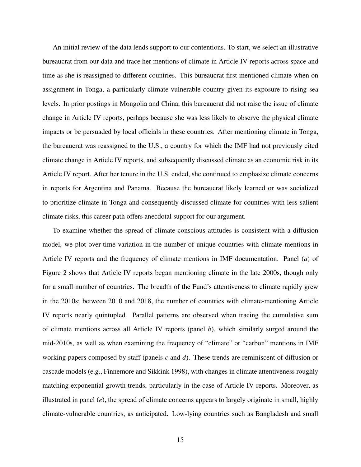An initial review of the data lends support to our contentions. To start, we select an illustrative bureaucrat from our data and trace her mentions of climate in Article IV reports across space and time as she is reassigned to different countries. This bureaucrat first mentioned climate when on assignment in Tonga, a particularly climate-vulnerable country given its exposure to rising sea levels. In prior postings in Mongolia and China, this bureaucrat did not raise the issue of climate change in Article IV reports, perhaps because she was less likely to observe the physical climate impacts or be persuaded by local officials in these countries. After mentioning climate in Tonga, the bureaucrat was reassigned to the U.S., a country for which the IMF had not previously cited climate change in Article IV reports, and subsequently discussed climate as an economic risk in its Article IV report. After her tenure in the U.S. ended, she continued to emphasize climate concerns in reports for Argentina and Panama. Because the bureaucrat likely learned or was socialized to prioritize climate in Tonga and consequently discussed climate for countries with less salient climate risks, this career path offers anecdotal support for our argument.

To examine whether the spread of climate-conscious attitudes is consistent with a diffusion model, we plot over-time variation in the number of unique countries with climate mentions in Article IV reports and the frequency of climate mentions in IMF documentation. Panel (*a*) of Figure [2](#page-17-0) shows that Article IV reports began mentioning climate in the late 2000s, though only for a small number of countries. The breadth of the Fund's attentiveness to climate rapidly grew in the 2010s; between 2010 and 2018, the number of countries with climate-mentioning Article IV reports nearly quintupled. Parallel patterns are observed when tracing the cumulative sum of climate mentions across all Article IV reports (panel *b*), which similarly surged around the mid-2010s, as well as when examining the frequency of "climate" or "carbon" mentions in IMF working papers composed by staff (panels *c* and *d*). These trends are reminiscent of diffusion or cascade models (e.g., [Finnemore and Sikkink](#page-29-1) [1998\)](#page-29-1), with changes in climate attentiveness roughly matching exponential growth trends, particularly in the case of Article IV reports. Moreover, as illustrated in panel (*e*), the spread of climate concerns appears to largely originate in small, highly climate-vulnerable countries, as anticipated. Low-lying countries such as Bangladesh and small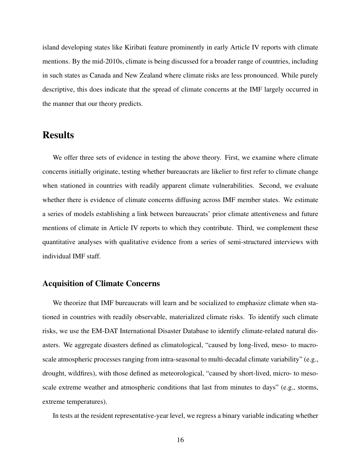island developing states like Kiribati feature prominently in early Article IV reports with climate mentions. By the mid-2010s, climate is being discussed for a broader range of countries, including in such states as Canada and New Zealand where climate risks are less pronounced. While purely descriptive, this does indicate that the spread of climate concerns at the IMF largely occurred in the manner that our theory predicts.

## Results

We offer three sets of evidence in testing the above theory. First, we examine where climate concerns initially originate, testing whether bureaucrats are likelier to first refer to climate change when stationed in countries with readily apparent climate vulnerabilities. Second, we evaluate whether there is evidence of climate concerns diffusing across IMF member states. We estimate a series of models establishing a link between bureaucrats' prior climate attentiveness and future mentions of climate in Article IV reports to which they contribute. Third, we complement these quantitative analyses with qualitative evidence from a series of semi-structured interviews with individual IMF staff.

#### Acquisition of Climate Concerns

We theorize that IMF bureaucrats will learn and be socialized to emphasize climate when stationed in countries with readily observable, materialized climate risks. To identify such climate risks, we use the EM-DAT International Disaster Database to identify climate-related natural disasters. We aggregate disasters defined as climatological, "caused by long-lived, meso- to macroscale atmospheric processes ranging from intra-seasonal to multi-decadal climate variability" (e.g., drought, wildfires), with those defined as meteorological, "caused by short-lived, micro- to mesoscale extreme weather and atmospheric conditions that last from minutes to days" (e.g., storms, extreme temperatures).

In tests at the resident representative-year level, we regress a binary variable indicating whether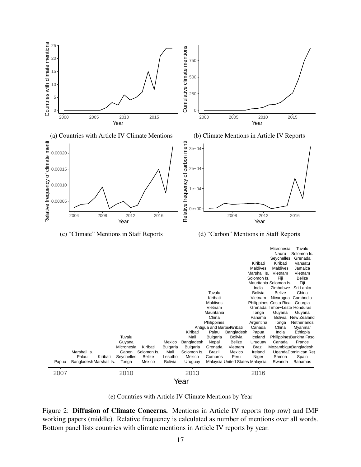<span id="page-17-0"></span>

(e) Countries with Article IV Climate Mentions by Year

Figure 2: Diffusion of Climate Concerns. Mentions in Article IV reports (top row) and IMF working papers (middle). Relative frequency is calculated as number of mentions over all words. Bottom panel lists countries with climate mentions in Article IV reports by year.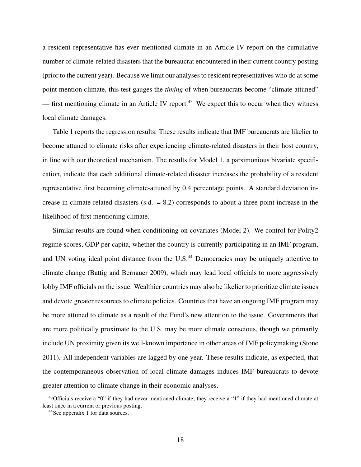a resident representative has ever mentioned climate in an Article IV report on the cumulative number of climate-related disasters that the bureaucrat encountered in their current country posting (prior to the current year). Because we limit our analyses to resident representatives who do at some point mention climate, this test gauges the *timing* of when bureaucrats become "climate attuned" — first mentioning climate in an Article IV report.<sup>[43](#page-18-0)</sup> We expect this to occur when they witness local climate damages.

Table [1](#page-19-0) reports the regression results. These results indicate that IMF bureaucrats are likelier to become attuned to climate risks after experiencing climate-related disasters in their host country, in line with our theoretical mechanism. The results for Model 1, a parsimonious bivariate specification, indicate that each additional climate-related disaster increases the probability of a resident representative first becoming climate-attuned by 0.4 percentage points. A standard deviation increase in climate-related disasters  $(s.d. = 8.2)$  corresponds to about a three-point increase in the likelihood of first mentioning climate.

Similar results are found when conditioning on covariates (Model 2). We control for Polity2 regime scores, GDP per capita, whether the country is currently participating in an IMF program, and UN voting ideal point distance from the U.S.<sup>[44](#page-18-1)</sup> Democracies may be uniquely attentive to climate change [\(Battig and Bernauer](#page-28-12) [2009\)](#page-28-12), which may lead local officials to more aggressively lobby IMF officials on the issue. Wealthier countries may also be likelier to prioritize climate issues and devote greater resources to climate policies. Countries that have an ongoing IMF program may be more attuned to climate as a result of the Fund's new attention to the issue. Governments that are more politically proximate to the U.S. may be more climate conscious, though we primarily include UN proximity given its well-known importance in other areas of IMF policymaking [\(Stone](#page-31-3) [2011\)](#page-31-3). All independent variables are lagged by one year. These results indicate, as expected, that the contemporaneous observation of local climate damages induces IMF bureaucrats to devote greater attention to climate change in their economic analyses.

<span id="page-18-0"></span><sup>&</sup>lt;sup>43</sup>Officials receive a "0" if they had never mentioned climate; they receive a "1" if they had mentioned climate at least once in a current or previous posting.

<span id="page-18-1"></span><sup>44</sup>See appendix [1](#page-34-1) for data sources.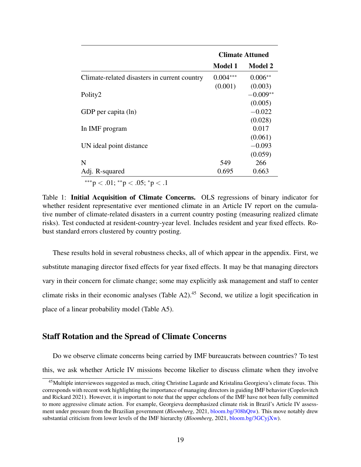<span id="page-19-0"></span>

|                                              | <b>Climate Attuned</b> |                |
|----------------------------------------------|------------------------|----------------|
|                                              | <b>Model 1</b>         | <b>Model 2</b> |
| Climate-related disasters in current country | $0.004***$             | $0.006**$      |
|                                              | (0.001)                | (0.003)        |
| Polity2                                      |                        | $-0.009**$     |
|                                              |                        | (0.005)        |
| GDP per capita (ln)                          |                        | $-0.022$       |
|                                              |                        | (0.028)        |
| In IMF program                               |                        | 0.017          |
|                                              |                        | (0.061)        |
| UN ideal point distance                      |                        | $-0.093$       |
|                                              |                        | (0.059)        |
| N                                            | 549                    | 266            |
| Adj. R-squared                               | 0.695                  | 0.663          |
| ***p < .01; **p < .05; *p < .1               |                        |                |

Table 1: Initial Acquisition of Climate Concerns. OLS regressions of binary indicator for whether resident representative ever mentioned climate in an Article IV report on the cumulative number of climate-related disasters in a current country posting (measuring realized climate risks). Test conducted at resident-country-year level. Includes resident and year fixed effects. Robust standard errors clustered by country posting.

These results hold in several robustness checks, all of which appear in the appendix. First, we substitute managing director fixed effects for year fixed effects. It may be that managing directors vary in their concern for climate change; some may explicitly ask management and staff to center climate risks in their economic analyses (Table [A2\)](#page-35-0).<sup>[45](#page-19-1)</sup> Second, we utilize a logit specification in place of a linear probability model (Table [A5\)](#page-38-0).

#### Staff Rotation and the Spread of Climate Concerns

Do we observe climate concerns being carried by IMF bureaucrats between countries? To test this, we ask whether Article IV missions become likelier to discuss climate when they involve

<span id="page-19-1"></span><sup>&</sup>lt;sup>45</sup> Multiple interviewees suggested as much, citing Christine Lagarde and Kristalina Georgieva's climate focus. This corresponds with recent work highlighting the importance of managing directors in guiding IMF behavior [\(Copelovitch](#page-29-13) [and Rickard](#page-29-13) [2021\)](#page-29-13). However, it is important to note that the upper echelons of the IMF have not been fully committed to more aggressive climate action. For example, Georgieva deemphasized climate risk in Brazil's Article IV assessment under pressure from the Brazilian government (*Bloomberg*, 2021, [bloom.bg/308hQtw\)](https://bloom.bg/308hQtw). This move notably drew substantial criticism from lower levels of the IMF hierarchy (*Bloomberg*, 2021, [bloom.bg/3GCyjXw\)](https://bloom.bg/3GCyjXw).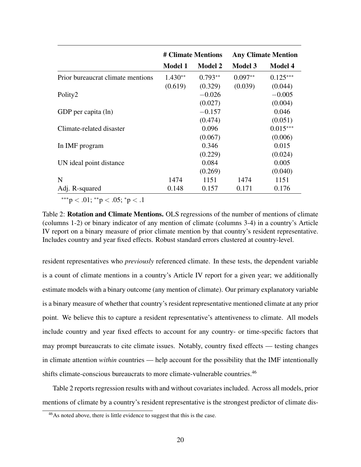<span id="page-20-1"></span>

|                                   | # Climate Mentions |                | <b>Any Climate Mention</b> |                |
|-----------------------------------|--------------------|----------------|----------------------------|----------------|
|                                   | <b>Model 1</b>     | <b>Model 2</b> | <b>Model 3</b>             | <b>Model 4</b> |
| Prior bureaucrat climate mentions | $1.430**$          | $0.793**$      | $0.097**$                  | $0.125***$     |
|                                   | (0.619)            | (0.329)        | (0.039)                    | (0.044)        |
| Polity2                           |                    | $-0.026$       |                            | $-0.005$       |
|                                   |                    | (0.027)        |                            | (0.004)        |
| GDP per capita (ln)               |                    | $-0.157$       |                            | 0.046          |
|                                   |                    | (0.474)        |                            | (0.051)        |
| Climate-related disaster          |                    | 0.096          |                            | $0.015***$     |
|                                   |                    | (0.067)        |                            | (0.006)        |
| In IMF program                    |                    | 0.346          |                            | 0.015          |
|                                   |                    | (0.229)        |                            | (0.024)        |
| UN ideal point distance           |                    | 0.084          |                            | 0.005          |
|                                   |                    | (0.269)        |                            | (0.040)        |
| N                                 | 1474               | 1151           | 1474                       | 1151           |
| Adj. R-squared                    | 0.148              | 0.157          | 0.171                      | 0.176          |

∗∗∗p < .01; ∗∗p < .05; <sup>∗</sup>p < .1

Table 2: Rotation and Climate Mentions. OLS regressions of the number of mentions of climate (columns 1-2) or binary indicator of any mention of climate (columns 3-4) in a country's Article IV report on a binary measure of prior climate mention by that country's resident representative. Includes country and year fixed effects. Robust standard errors clustered at country-level.

resident representatives who *previously* referenced climate. In these tests, the dependent variable is a count of climate mentions in a country's Article IV report for a given year; we additionally estimate models with a binary outcome (any mention of climate). Our primary explanatory variable is a binary measure of whether that country's resident representative mentioned climate at any prior point. We believe this to capture a resident representative's attentiveness to climate. All models include country and year fixed effects to account for any country- or time-specific factors that may prompt bureaucrats to cite climate issues. Notably, country fixed effects — testing changes in climate attention *within* countries — help account for the possibility that the IMF intentionally shifts climate-conscious bureaucrats to more climate-vulnerable countries.<sup>[46](#page-20-0)</sup>

Table [2](#page-20-1) reports regression results with and without covariates included. Across all models, prior mentions of climate by a country's resident representative is the strongest predictor of climate dis-

<span id="page-20-0"></span><sup>46</sup>As noted above, there is little evidence to suggest that this is the case.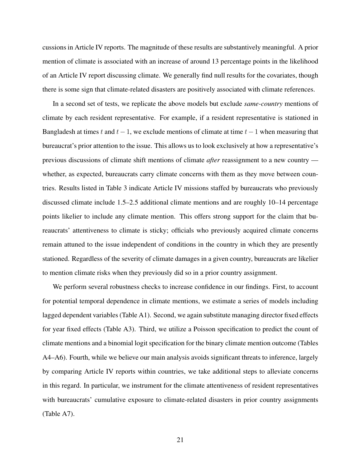cussions in Article IV reports. The magnitude of these results are substantively meaningful. A prior mention of climate is associated with an increase of around 13 percentage points in the likelihood of an Article IV report discussing climate. We generally find null results for the covariates, though there is some sign that climate-related disasters are positively associated with climate references.

In a second set of tests, we replicate the above models but exclude *same-country* mentions of climate by each resident representative. For example, if a resident representative is stationed in Bangladesh at times t and  $t-1$ , we exclude mentions of climate at time  $t-1$  when measuring that bureaucrat's prior attention to the issue. This allows us to look exclusively at how a representative's previous discussions of climate shift mentions of climate *after* reassignment to a new country whether, as expected, bureaucrats carry climate concerns with them as they move between countries. Results listed in Table [3](#page-22-0) indicate Article IV missions staffed by bureaucrats who previously discussed climate include 1.5–2.5 additional climate mentions and are roughly 10–14 percentage points likelier to include any climate mention. This offers strong support for the claim that bureaucrats' attentiveness to climate is sticky; officials who previously acquired climate concerns remain attuned to the issue independent of conditions in the country in which they are presently stationed. Regardless of the severity of climate damages in a given country, bureaucrats are likelier to mention climate risks when they previously did so in a prior country assignment.

We perform several robustness checks to increase confidence in our findings. First, to account for potential temporal dependence in climate mentions, we estimate a series of models including lagged dependent variables (Table [A1\)](#page-35-1). Second, we again substitute managing director fixed effects for year fixed effects (Table [A3\)](#page-36-0). Third, we utilize a Poisson specification to predict the count of climate mentions and a binomial logit specification for the binary climate mention outcome (Tables [A4–](#page-37-0)[A6\)](#page-38-1). Fourth, while we believe our main analysis avoids significant threats to inference, largely by comparing Article IV reports within countries, we take additional steps to alleviate concerns in this regard. In particular, we instrument for the climate attentiveness of resident representatives with bureaucrats' cumulative exposure to climate-related disasters in prior country assignments (Table [A7\)](#page-39-0).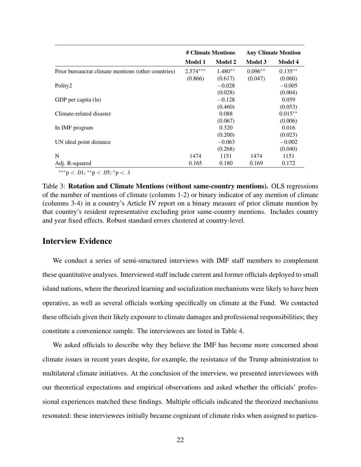<span id="page-22-0"></span>

|                                                     | # Climate Mentions |                | <b>Any Climate Mention</b> |                |
|-----------------------------------------------------|--------------------|----------------|----------------------------|----------------|
|                                                     | <b>Model 1</b>     | <b>Model 2</b> | <b>Model 3</b>             | <b>Model 4</b> |
| Prior bureaucrat climate mentions (other countries) | $2.574***$         | $1.480**$      | $0.096**$                  | $0.135**$      |
|                                                     | (0.866)            | (0.617)        | (0.047)                    | (0.060)        |
| Polity2                                             |                    | $-0.028$       |                            | $-0.005$       |
|                                                     |                    | (0.028)        |                            | (0.004)        |
| GDP per capita (ln)                                 |                    | $-0.128$       |                            | 0.059          |
|                                                     |                    | (0.460)        |                            | (0.053)        |
| Climate-related disaster                            |                    | 0.088          |                            | $0.015**$      |
|                                                     |                    | (0.067)        |                            | (0.006)        |
| In IMF program                                      |                    | 0.320          |                            | 0.016          |
|                                                     |                    | (0.200)        |                            | (0.023)        |
| UN ideal point distance                             |                    | $-0.063$       |                            | $-0.002$       |
|                                                     |                    | (0.268)        |                            | (0.040)        |
| N                                                   | 1474               | 1151           | 1474                       | 1151           |
| Adj. R-squared                                      | 0.165              | 0.180          | 0.169                      | 0.172          |
| ***p < .01; **p < .05; *p < .1                      |                    |                |                            |                |

Table 3: Rotation and Climate Mentions (without same-country mentions). OLS regressions of the number of mentions of climate (columns 1-2) or binary indicator of any mention of climate (columns 3-4) in a country's Article IV report on a binary measure of prior climate mention by that country's resident representative excluding prior same-country mentions. Includes country and year fixed effects. Robust standard errors clustered at country-level.

### Interview Evidence

We conduct a series of semi-structured interviews with IMF staff members to complement these quantitative analyses. Interviewed staff include current and former officials deployed to small island nations, where the theorized learning and socialization mechanisms were likely to have been operative, as well as several officials working specifically on climate at the Fund. We contacted these officials given their likely exposure to climate damages and professional responsibilities; they constitute a convenience sample. The interviewees are listed in Table [4.](#page-23-0)

We asked officials to describe why they believe the IMF has become more concerned about climate issues in recent years despite, for example, the resistance of the Trump administration to multilateral climate initiatives. At the conclusion of the interview, we presented interviewees with our theoretical expectations and empirical observations and asked whether the officials' professional experiences matched these findings. Multiple officials indicated the theorized mechanisms resonated: these interviewees initially became cognizant of climate risks when assigned to particu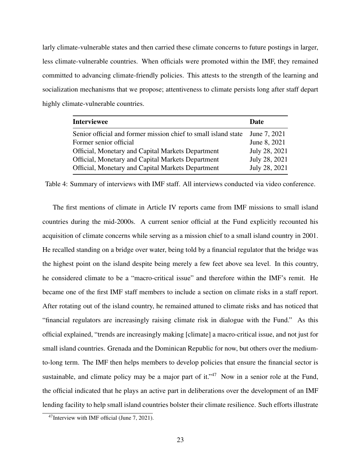larly climate-vulnerable states and then carried these climate concerns to future postings in larger, less climate-vulnerable countries. When officials were promoted within the IMF, they remained committed to advancing climate-friendly policies. This attests to the strength of the learning and socialization mechanisms that we propose; attentiveness to climate persists long after staff depart highly climate-vulnerable countries.

<span id="page-23-0"></span>

| <b>Interviewee</b>                                             | Date          |
|----------------------------------------------------------------|---------------|
| Senior official and former mission chief to small island state | June 7, 2021  |
| Former senior official                                         | June 8, 2021  |
| Official, Monetary and Capital Markets Department              | July 28, 2021 |
| Official, Monetary and Capital Markets Department              | July 28, 2021 |
| Official, Monetary and Capital Markets Department              | July 28, 2021 |

Table 4: Summary of interviews with IMF staff. All interviews conducted via video conference.

The first mentions of climate in Article IV reports came from IMF missions to small island countries during the mid-2000s. A current senior official at the Fund explicitly recounted his acquisition of climate concerns while serving as a mission chief to a small island country in 2001. He recalled standing on a bridge over water, being told by a financial regulator that the bridge was the highest point on the island despite being merely a few feet above sea level. In this country, he considered climate to be a "macro-critical issue" and therefore within the IMF's remit. He became one of the first IMF staff members to include a section on climate risks in a staff report. After rotating out of the island country, he remained attuned to climate risks and has noticed that "financial regulators are increasingly raising climate risk in dialogue with the Fund." As this official explained, "trends are increasingly making [climate] a macro-critical issue, and not just for small island countries. Grenada and the Dominican Republic for now, but others over the mediumto-long term. The IMF then helps members to develop policies that ensure the financial sector is sustainable, and climate policy may be a major part of it."<sup>[47](#page-23-1)</sup> Now in a senior role at the Fund, the official indicated that he plays an active part in deliberations over the development of an IMF lending facility to help small island countries bolster their climate resilience. Such efforts illustrate

<span id="page-23-1"></span><sup>47</sup>Interview with IMF official (June 7, 2021).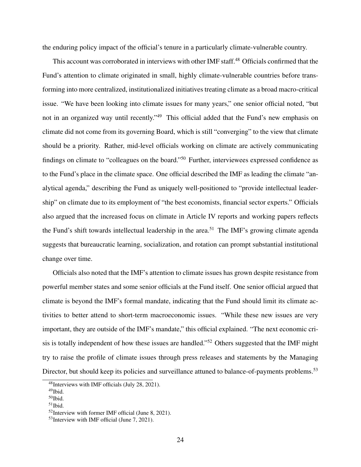the enduring policy impact of the official's tenure in a particularly climate-vulnerable country.

This account was corroborated in interviews with other IMF staff.<sup>[48](#page-24-0)</sup> Officials confirmed that the Fund's attention to climate originated in small, highly climate-vulnerable countries before transforming into more centralized, institutionalized initiatives treating climate as a broad macro-critical issue. "We have been looking into climate issues for many years," one senior official noted, "but not in an organized way until recently."<sup>[49](#page-24-1)</sup> This official added that the Fund's new emphasis on climate did not come from its governing Board, which is still "converging" to the view that climate should be a priority. Rather, mid-level officials working on climate are actively communicating findings on climate to "colleagues on the board."[50](#page-24-2) Further, interviewees expressed confidence as to the Fund's place in the climate space. One official described the IMF as leading the climate "analytical agenda," describing the Fund as uniquely well-positioned to "provide intellectual leadership" on climate due to its employment of "the best economists, financial sector experts." Officials also argued that the increased focus on climate in Article IV reports and working papers reflects the Fund's shift towards intellectual leadership in the area.<sup>[51](#page-24-3)</sup> The IMF's growing climate agenda suggests that bureaucratic learning, socialization, and rotation can prompt substantial institutional change over time.

Officials also noted that the IMF's attention to climate issues has grown despite resistance from powerful member states and some senior officials at the Fund itself. One senior official argued that climate is beyond the IMF's formal mandate, indicating that the Fund should limit its climate activities to better attend to short-term macroeconomic issues. "While these new issues are very important, they are outside of the IMF's mandate," this official explained. "The next economic cri-sis is totally independent of how these issues are handled."<sup>[52](#page-24-4)</sup> Others suggested that the IMF might try to raise the profile of climate issues through press releases and statements by the Managing Director, but should keep its policies and surveillance attuned to balance-of-payments problems.<sup>[53](#page-24-5)</sup>

<span id="page-24-0"></span><sup>48</sup>Interviews with IMF officials (July 28, 2021).

<span id="page-24-1"></span><sup>49</sup>Ibid.

<span id="page-24-2"></span><sup>50</sup>Ibid.

<span id="page-24-3"></span> $51$ Ibid.

<span id="page-24-4"></span> $52$ Interview with former IMF official (June 8, 2021).

<span id="page-24-5"></span><sup>53</sup>Interview with IMF official (June 7, 2021).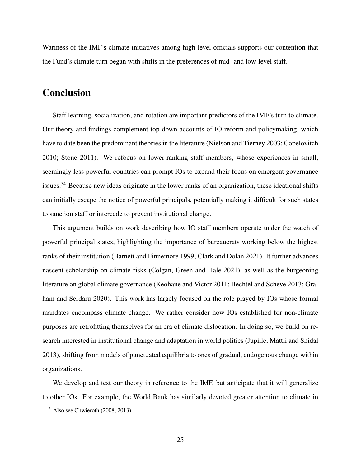Wariness of the IMF's climate initiatives among high-level officials supports our contention that the Fund's climate turn began with shifts in the preferences of mid- and low-level staff.

### Conclusion

Staff learning, socialization, and rotation are important predictors of the IMF's turn to climate. Our theory and findings complement top-down accounts of IO reform and policymaking, which have to date been the predominant theories in the literature [\(Nielson and Tierney](#page-31-2) [2003;](#page-31-2) [Copelovitch](#page-29-5) [2010;](#page-29-5) [Stone](#page-31-3) [2011\)](#page-31-3). We refocus on lower-ranking staff members, whose experiences in small, seemingly less powerful countries can prompt IOs to expand their focus on emergent governance issues.<sup>[54](#page-25-0)</sup> Because new ideas originate in the lower ranks of an organization, these ideational shifts can initially escape the notice of powerful principals, potentially making it difficult for such states to sanction staff or intercede to prevent institutional change.

This argument builds on work describing how IO staff members operate under the watch of powerful principal states, highlighting the importance of bureaucrats working below the highest ranks of their institution [\(Barnett and Finnemore](#page-28-2) [1999;](#page-28-2) [Clark and Dolan](#page-29-0) [2021\)](#page-29-0). It further advances nascent scholarship on climate risks [\(Colgan, Green and Hale](#page-29-3) [2021\)](#page-29-3), as well as the burgeoning literature on global climate governance [\(Keohane and Victor](#page-31-14) [2011;](#page-31-14) [Bechtel and Scheve](#page-28-13) [2013;](#page-28-13) [Gra](#page-30-1)[ham and Serdaru](#page-30-1) [2020\)](#page-30-1). This work has largely focused on the role played by IOs whose formal mandates encompass climate change. We rather consider how IOs established for non-climate purposes are retrofitting themselves for an era of climate dislocation. In doing so, we build on research interested in institutional change and adaptation in world politics [\(Jupille, Mattli and Snidal](#page-30-2) [2013\)](#page-30-2), shifting from models of punctuated equilibria to ones of gradual, endogenous change within organizations.

We develop and test our theory in reference to the IMF, but anticipate that it will generalize to other IOs. For example, the World Bank has similarly devoted greater attention to climate in

<span id="page-25-0"></span><sup>54</sup>Also see [Chwieroth](#page-29-2) [\(2008,](#page-29-2) [2013\)](#page-29-7).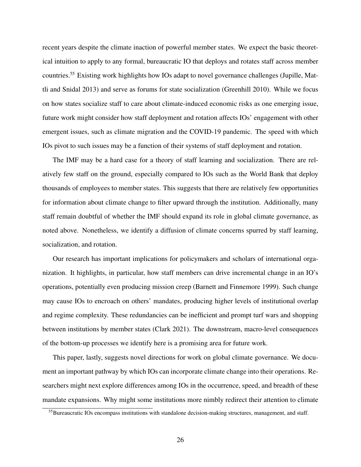recent years despite the climate inaction of powerful member states. We expect the basic theoretical intuition to apply to any formal, bureaucratic IO that deploys and rotates staff across member countries.[55](#page-26-0) Existing work highlights how IOs adapt to novel governance challenges [\(Jupille, Mat](#page-30-2)[tli and Snidal](#page-30-2) [2013\)](#page-30-2) and serve as forums for state socialization [\(Greenhill](#page-30-6) [2010\)](#page-30-6). While we focus on how states socialize staff to care about climate-induced economic risks as one emerging issue, future work might consider how staff deployment and rotation affects IOs' engagement with other emergent issues, such as climate migration and the COVID-19 pandemic. The speed with which IOs pivot to such issues may be a function of their systems of staff deployment and rotation.

The IMF may be a hard case for a theory of staff learning and socialization. There are relatively few staff on the ground, especially compared to IOs such as the World Bank that deploy thousands of employees to member states. This suggests that there are relatively few opportunities for information about climate change to filter upward through the institution. Additionally, many staff remain doubtful of whether the IMF should expand its role in global climate governance, as noted above. Nonetheless, we identify a diffusion of climate concerns spurred by staff learning, socialization, and rotation.

Our research has important implications for policymakers and scholars of international organization. It highlights, in particular, how staff members can drive incremental change in an IO's operations, potentially even producing mission creep [\(Barnett and Finnemore](#page-28-2) [1999\)](#page-28-2). Such change may cause IOs to encroach on others' mandates, producing higher levels of institutional overlap and regime complexity. These redundancies can be inefficient and prompt turf wars and shopping between institutions by member states [\(Clark](#page-29-14) [2021\)](#page-29-14). The downstream, macro-level consequences of the bottom-up processes we identify here is a promising area for future work.

This paper, lastly, suggests novel directions for work on global climate governance. We document an important pathway by which IOs can incorporate climate change into their operations. Researchers might next explore differences among IOs in the occurrence, speed, and breadth of these mandate expansions. Why might some institutions more nimbly redirect their attention to climate

<span id="page-26-0"></span><sup>55</sup> Bureaucratic IOs encompass institutions with standalone decision-making structures, management, and staff.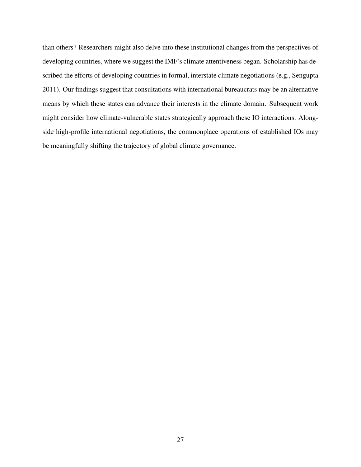than others? Researchers might also delve into these institutional changes from the perspectives of developing countries, where we suggest the IMF's climate attentiveness began. Scholarship has described the efforts of developing countries in formal, interstate climate negotiations (e.g., [Sengupta](#page-31-15) [2011\)](#page-31-15). Our findings suggest that consultations with international bureaucrats may be an alternative means by which these states can advance their interests in the climate domain. Subsequent work might consider how climate-vulnerable states strategically approach these IO interactions. Alongside high-profile international negotiations, the commonplace operations of established IOs may be meaningfully shifting the trajectory of global climate governance.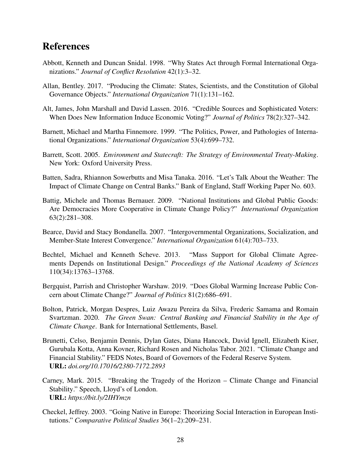## References

- <span id="page-28-5"></span>Abbott, Kenneth and Duncan Snidal. 1998. "Why States Act through Formal International Organizations." *Journal of Conflict Resolution* 42(1):3–32.
- <span id="page-28-4"></span>Allan, Bentley. 2017. "Producing the Climate: States, Scientists, and the Constitution of Global Governance Objects." *International Organization* 71(1):131–162.
- <span id="page-28-11"></span>Alt, James, John Marshall and David Lassen. 2016. "Credible Sources and Sophisticated Voters: When Does New Information Induce Economic Voting?" *Journal of Politics* 78(2):327–342.
- <span id="page-28-2"></span>Barnett, Michael and Martha Finnemore. 1999. "The Politics, Power, and Pathologies of International Organizations." *International Organization* 53(4):699–732.
- <span id="page-28-1"></span>Barrett, Scott. 2005. *Environment and Statecraft: The Strategy of Environmental Treaty-Making*. New York: Oxford University Press.
- <span id="page-28-7"></span>Batten, Sadra, Rhiannon Sowerbutts and Misa Tanaka. 2016. "Let's Talk About the Weather: The Impact of Climate Change on Central Banks." Bank of England, Staff Working Paper No. 603.
- <span id="page-28-12"></span>Battig, Michele and Thomas Bernauer. 2009. "National Institutions and Global Public Goods: Are Democracies More Cooperative in Climate Change Policy?" *International Organization* 63(2):281–308.
- <span id="page-28-6"></span>Bearce, David and Stacy Bondanella. 2007. "Intergovernmental Organizations, Socialization, and Member-State Interest Convergence." *International Organization* 61(4):703–733.
- <span id="page-28-13"></span>Bechtel, Michael and Kenneth Scheve. 2013. "Mass Support for Global Climate Agreements Depends on Institutional Design." *Proceedings of the National Academy of Sciences* 110(34):13763–13768.
- <span id="page-28-10"></span>Bergquist, Parrish and Christopher Warshaw. 2019. "Does Global Warming Increase Public Concern about Climate Change?" *Journal of Politics* 81(2):686–691.
- <span id="page-28-0"></span>Bolton, Patrick, Morgan Despres, Luiz Awazu Pereira da Silva, Frederic Samama and Romain Svartzman. 2020. *The Green Swan: Central Banking and Financial Stability in the Age of Climate Change*. Bank for International Settlements, Basel.
- <span id="page-28-9"></span>Brunetti, Celso, Benjamin Dennis, Dylan Gates, Diana Hancock, David Ignell, Elizabeth Kiser, Gurubala Kotta, Anna Kovner, Richard Rosen and Nicholas Tabor. 2021. "Climate Change and Financial Stability." FEDS Notes, Board of Governors of the Federal Reserve System. URL: *doi.org/10.17016/2380-7172.2893*
- <span id="page-28-8"></span>Carney, Mark. 2015. "Breaking the Tragedy of the Horizon – Climate Change and Financial Stability." Speech, Lloyd's of London. URL: *https://bit.ly/2IHYmzn*
- <span id="page-28-3"></span>Checkel, Jeffrey. 2003. "Going Native in Europe: Theorizing Social Interaction in European Institutions." *Comparative Political Studies* 36(1–2):209–231.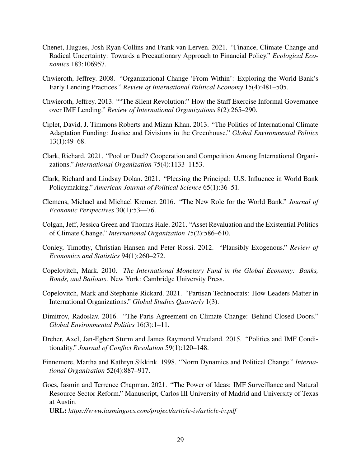- <span id="page-29-4"></span>Chenet, Hugues, Josh Ryan-Collins and Frank van Lerven. 2021. "Finance, Climate-Change and Radical Uncertainty: Towards a Precautionary Approach to Financial Policy." *Ecological Economics* 183:106957.
- <span id="page-29-2"></span>Chwieroth, Jeffrey. 2008. "Organizational Change 'From Within': Exploring the World Bank's Early Lending Practices." *Review of International Political Economy* 15(4):481–505.
- <span id="page-29-7"></span>Chwieroth, Jeffrey. 2013. ""The Silent Revolution:" How the Staff Exercise Informal Governance over IMF Lending." *Review of International Organizations* 8(2):265–290.
- <span id="page-29-8"></span>Ciplet, David, J. Timmons Roberts and Mizan Khan. 2013. "The Politics of International Climate Adaptation Funding: Justice and Divisions in the Greenhouse." *Global Environmental Politics* 13(1):49–68.
- <span id="page-29-14"></span>Clark, Richard. 2021. "Pool or Duel? Cooperation and Competition Among International Organizations." *International Organization* 75(4):1133–1153.
- <span id="page-29-0"></span>Clark, Richard and Lindsay Dolan. 2021. "Pleasing the Principal: U.S. Influence in World Bank Policymaking." *American Journal of Political Science* 65(1):36–51.
- <span id="page-29-10"></span>Clemens, Michael and Michael Kremer. 2016. "The New Role for the World Bank." *Journal of Economic Perspectives* 30(1):53—76.
- <span id="page-29-3"></span>Colgan, Jeff, Jessica Green and Thomas Hale. 2021. "Asset Revaluation and the Existential Politics of Climate Change." *International Organization* 75(2):586–610.
- <span id="page-29-12"></span>Conley, Timothy, Christian Hansen and Peter Rossi. 2012. "Plausibly Exogenous." *Review of Economics and Statistics* 94(1):260–272.
- <span id="page-29-5"></span>Copelovitch, Mark. 2010. *The International Monetary Fund in the Global Economy: Banks, Bonds, and Bailouts*. New York: Cambridge University Press.
- <span id="page-29-13"></span>Copelovitch, Mark and Stephanie Rickard. 2021. "Partisan Technocrats: How Leaders Matter in International Organizations." *Global Studies Quarterly* 1(3).
- <span id="page-29-9"></span>Dimitrov, Radoslav. 2016. "The Paris Agreement on Climate Change: Behind Closed Doors." *Global Environmental Politics* 16(3):1–11.
- <span id="page-29-6"></span>Dreher, Axel, Jan-Egbert Sturm and James Raymond Vreeland. 2015. "Politics and IMF Conditionality." *Journal of Conflict Resolution* 59(1):120–148.
- <span id="page-29-1"></span>Finnemore, Martha and Kathryn Sikkink. 1998. "Norm Dynamics and Political Change." *International Organization* 52(4):887–917.
- <span id="page-29-11"></span>Goes, Iasmin and Terrence Chapman. 2021. "The Power of Ideas: IMF Surveillance and Natural Resource Sector Reform." Manuscript, Carlos III University of Madrid and University of Texas at Austin.

URL: *https://www.iasmingoes.com/project/article-iv/article-iv.pdf*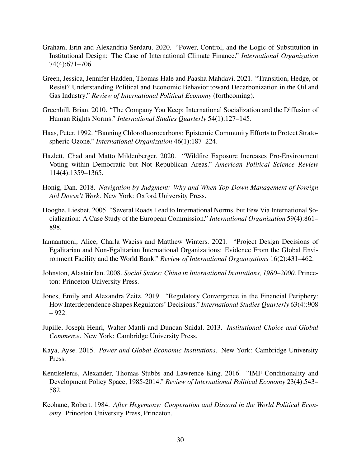- <span id="page-30-1"></span>Graham, Erin and Alexandria Serdaru. 2020. "Power, Control, and the Logic of Substitution in Institutional Design: The Case of International Climate Finance." *International Organization* 74(4):671–706.
- <span id="page-30-10"></span>Green, Jessica, Jennifer Hadden, Thomas Hale and Paasha Mahdavi. 2021. "Transition, Hedge, or Resist? Understanding Political and Economic Behavior toward Decarbonization in the Oil and Gas Industry." *Review of International Political Economy* (forthcoming).
- <span id="page-30-6"></span>Greenhill, Brian. 2010. "The Company You Keep: International Socialization and the Diffusion of Human Rights Norms." *International Studies Quarterly* 54(1):127–145.
- <span id="page-30-7"></span>Haas, Peter. 1992. "Banning Chlorofluorocarbons: Epistemic Community Efforts to Protect Stratospheric Ozone." *International Organization* 46(1):187–224.
- <span id="page-30-11"></span>Hazlett, Chad and Matto Mildenberger. 2020. "Wildfire Exposure Increases Pro-Environment Voting within Democratic but Not Republican Areas." *American Political Science Review* 114(4):1359–1365.
- <span id="page-30-9"></span>Honig, Dan. 2018. *Navigation by Judgment: Why and When Top-Down Management of Foreign Aid Doesn't Work*. New York: Oxford University Press.
- <span id="page-30-4"></span>Hooghe, Liesbet. 2005. "Several Roads Lead to International Norms, but Few Via International Socialization: A Case Study of the European Commission." *International Organization* 59(4):861– 898.
- <span id="page-30-8"></span>Iannantuoni, Alice, Charla Waeiss and Matthew Winters. 2021. "Project Design Decisions of Egalitarian and Non-Egalitarian International Organizations: Evidence From the Global Environment Facility and the World Bank." *Review of International Organizations* 16(2):431–462.
- <span id="page-30-5"></span>Johnston, Alastair Ian. 2008. *Social States: China in International Institutions, 1980–2000*. Princeton: Princeton University Press.
- <span id="page-30-3"></span>Jones, Emily and Alexandra Zeitz. 2019. "Regulatory Convergence in the Financial Periphery: How Interdependence Shapes Regulators' Decisions." *International Studies Quarterly* 63(4):908 – 922.
- <span id="page-30-2"></span>Jupille, Joseph Henri, Walter Mattli and Duncan Snidal. 2013. *Institutional Choice and Global Commerce*. New York: Cambridge University Press.
- <span id="page-30-0"></span>Kaya, Ayse. 2015. *Power and Global Economic Institutions*. New York: Cambridge University Press.
- <span id="page-30-12"></span>Kentikelenis, Alexander, Thomas Stubbs and Lawrence King. 2016. "IMF Conditionality and Development Policy Space, 1985-2014." *Review of International Political Economy* 23(4):543– 582.
- <span id="page-30-13"></span>Keohane, Robert. 1984. *After Hegemony: Cooperation and Discord in the World Political Economy*. Princeton University Press, Princeton.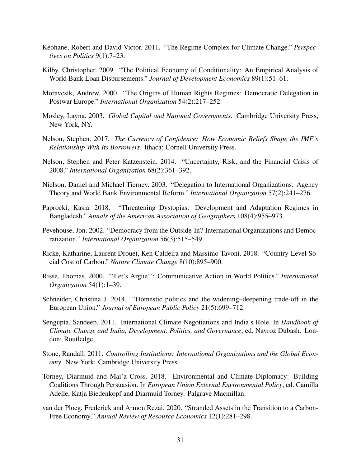- <span id="page-31-14"></span>Keohane, Robert and David Victor. 2011. "The Regime Complex for Climate Change." *Perspectives on Politics* 9(1):7–23.
- <span id="page-31-0"></span>Kilby, Christopher. 2009. "The Political Economy of Conditionality: An Empirical Analysis of World Bank Loan Disbursements." *Journal of Development Economics* 89(1):51–61.
- <span id="page-31-6"></span>Moravcsik, Andrew. 2000. "The Origins of Human Rights Regimes: Democratic Delegation in Postwar Europe." *International Organization* 54(2):217–252.
- <span id="page-31-13"></span>Mosley, Layna. 2003. *Global Capital and National Governments*. Cambridge University Press, New York, NY.
- <span id="page-31-1"></span>Nelson, Stephen. 2017. *The Currency of Confidence: How Economic Beliefs Shape the IMF's Relationship With Its Borrowers*. Ithaca: Cornell University Press.
- <span id="page-31-5"></span>Nelson, Stephen and Peter Katzenstein. 2014. "Uncertainty, Risk, and the Financial Crisis of 2008." *International Organization* 68(2):361–392.
- <span id="page-31-2"></span>Nielson, Daniel and Michael Tierney. 2003. "Delegation to International Organizations: Agency Theory and World Bank Environmental Reform." *International Organization* 57(2):241–276.
- <span id="page-31-10"></span>Paprocki, Kasia. 2018. "Threatening Dystopias: Development and Adaptation Regimes in Bangladesh." *Annals of the American Association of Geographers* 108(4):955–973.
- <span id="page-31-7"></span>Pevehouse, Jon. 2002. "Democracy from the Outside-In? International Organizations and Democratization." *International Organization* 56(3):515–549.
- <span id="page-31-9"></span>Ricke, Katharine, Laurent Drouet, Ken Caldeira and Massimo Tavoni. 2018. "Country-Level Social Cost of Carbon." *Nature Climate Change* 8(10):895–900.
- <span id="page-31-11"></span>Risse, Thomas. 2000. "'Let's Argue!': Communicative Action in World Politics." *International Organization* 54(1):1–39.
- <span id="page-31-4"></span>Schneider, Christina J. 2014. "Domestic politics and the widening–deepening trade-off in the European Union." *Journal of European Public Policy* 21(5):699–712.
- <span id="page-31-15"></span>Sengupta, Sandeep. 2011. International Climate Negotiations and India's Role. In *Handbook of Climate Change and India, Development, Politics, and Governance*, ed. Navroz Dubash. London: Routledge.
- <span id="page-31-3"></span>Stone, Randall. 2011. *Controlling Institutions: International Organizations and the Global Economy*. New York: Cambridge University Press.
- <span id="page-31-12"></span>Torney, Diarmuid and Mai'a Cross. 2018. Environmental and Climate Diplomacy: Building Coalitions Through Persuasion. In *European Union External Environmental Policy*, ed. Camilla Adelle, Katja Biedenkopf and Diarmuid Torney. Palgrave Macmillan.
- <span id="page-31-8"></span>van der Ploeg, Frederick and Armon Rezai. 2020. "Stranded Assets in the Transition to a Carbon-Free Economy." *Annual Review of Resource Economics* 12(1):281–298.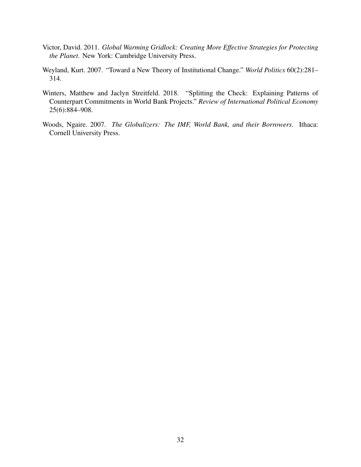- <span id="page-32-0"></span>Victor, David. 2011. *Global Warming Gridlock: Creating More Effective Strategies for Protecting the Planet*. New York: Cambridge University Press.
- <span id="page-32-1"></span>Weyland, Kurt. 2007. "Toward a New Theory of Institutional Change." *World Politics* 60(2):281– 314.
- <span id="page-32-2"></span>Winters, Matthew and Jaclyn Streitfeld. 2018. "Splitting the Check: Explaining Patterns of Counterpart Commitments in World Bank Projects." *Review of International Political Economy* 25(6):884–908.
- <span id="page-32-3"></span>Woods, Ngaire. 2007. *The Globalizers: The IMF, World Bank, and their Borrowers*. Ithaca: Cornell University Press.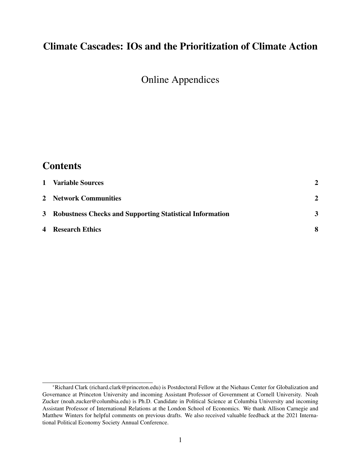## Climate Cascades: IOs and the Prioritization of Climate Action

Online Appendices

| <b>Contents</b>                                            |              |
|------------------------------------------------------------|--------------|
| 1 Variable Sources                                         | $\mathbf{2}$ |
| 2 Network Communities                                      | $\mathbf{2}$ |
| 3 Robustness Checks and Supporting Statistical Information | 3            |
| <b>4</b> Research Ethics                                   | 8            |

<sup>\*</sup>Richard Clark (richard.clark@princeton.edu) is Postdoctoral Fellow at the Niehaus Center for Globalization and Governance at Princeton University and incoming Assistant Professor of Government at Cornell University. Noah Zucker (noah.zucker@columbia.edu) is Ph.D. Candidate in Political Science at Columbia University and incoming Assistant Professor of International Relations at the London School of Economics. We thank Allison Carnegie and Matthew Winters for helpful comments on previous drafts. We also received valuable feedback at the 2021 International Political Economy Society Annual Conference.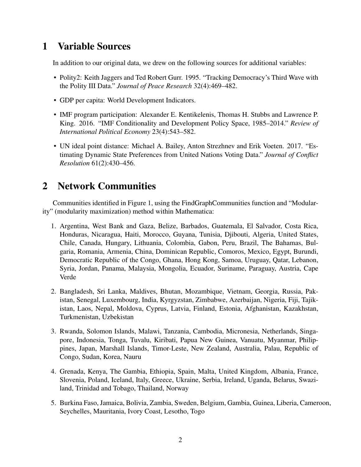## <span id="page-34-1"></span>1 Variable Sources

In addition to our original data, we drew on the following sources for additional variables:

- Polity2: Keith Jaggers and Ted Robert Gurr. 1995. "Tracking Democracy's Third Wave with the Polity III Data." *Journal of Peace Research* 32(4):469–482.
- GDP per capita: World Development Indicators.
- IMF program participation: Alexander E. Kentikelenis, Thomas H. Stubbs and Lawrence P. King. 2016. "IMF Conditionality and Development Policy Space, 1985–2014." *Review of International Political Economy* 23(4):543–582.
- UN ideal point distance: Michael A. Bailey, Anton Strezhnev and Erik Voeten. 2017. "Estimating Dynamic State Preferences from United Nations Voting Data." *Journal of Conflict Resolution* 61(2):430–456.

# <span id="page-34-0"></span>2 Network Communities

Communities identified in Figure [1,](#page-14-0) using the FindGraphCommunities function and "Modularity" (modularity maximization) method within Mathematica:

- 1. Argentina, West Bank and Gaza, Belize, Barbados, Guatemala, El Salvador, Costa Rica, Honduras, Nicaragua, Haiti, Morocco, Guyana, Tunisia, Djibouti, Algeria, United States, Chile, Canada, Hungary, Lithuania, Colombia, Gabon, Peru, Brazil, The Bahamas, Bulgaria, Romania, Armenia, China, Dominican Republic, Comoros, Mexico, Egypt, Burundi, Democratic Republic of the Congo, Ghana, Hong Kong, Samoa, Uruguay, Qatar, Lebanon, Syria, Jordan, Panama, Malaysia, Mongolia, Ecuador, Suriname, Paraguay, Austria, Cape Verde
- 2. Bangladesh, Sri Lanka, Maldives, Bhutan, Mozambique, Vietnam, Georgia, Russia, Pakistan, Senegal, Luxembourg, India, Kyrgyzstan, Zimbabwe, Azerbaijan, Nigeria, Fiji, Tajikistan, Laos, Nepal, Moldova, Cyprus, Latvia, Finland, Estonia, Afghanistan, Kazakhstan, Turkmenistan, Uzbekistan
- 3. Rwanda, Solomon Islands, Malawi, Tanzania, Cambodia, Micronesia, Netherlands, Singapore, Indonesia, Tonga, Tuvalu, Kiribati, Papua New Guinea, Vanuatu, Myanmar, Philippines, Japan, Marshall Islands, Timor-Leste, New Zealand, Australia, Palau, Republic of Congo, Sudan, Korea, Nauru
- 4. Grenada, Kenya, The Gambia, Ethiopia, Spain, Malta, United Kingdom, Albania, France, Slovenia, Poland, Iceland, Italy, Greece, Ukraine, Serbia, Ireland, Uganda, Belarus, Swaziland, Trinidad and Tobago, Thailand, Norway
- 5. Burkina Faso, Jamaica, Bolivia, Zambia, Sweden, Belgium, Gambia, Guinea, Liberia, Cameroon, Seychelles, Mauritania, Ivory Coast, Lesotho, Togo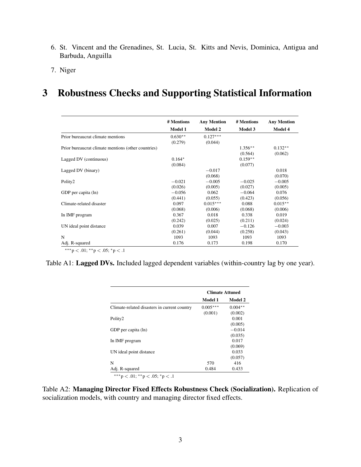- 6. St. Vincent and the Grenadines, St. Lucia, St. Kitts and Nevis, Dominica, Antigua and Barbuda, Anguilla
- 7. Niger

## <span id="page-35-2"></span>3 Robustness Checks and Supporting Statistical Information

<span id="page-35-1"></span>

|                                                     | # Mentions | <b>Any Mention</b> | # Mentions | <b>Any Mention</b> |
|-----------------------------------------------------|------------|--------------------|------------|--------------------|
|                                                     | Model 1    | <b>Model 2</b>     | Model 3    | Model 4            |
| Prior bureaucrat climate mentions                   | $0.630**$  | $0.127***$         |            |                    |
|                                                     | (0.279)    | (0.044)            |            |                    |
| Prior bureaucrat climate mentions (other countries) |            |                    | $1.356***$ | $0.132**$          |
|                                                     |            |                    | (0.564)    | (0.062)            |
| Lagged DV (continuous)                              | $0.164*$   |                    | $0.159**$  |                    |
|                                                     | (0.084)    |                    | (0.077)    |                    |
| Lagged DV (binary)                                  |            | $-0.017$           |            | 0.018              |
|                                                     |            | (0.068)            |            | (0.070)            |
| Polity2                                             | $-0.021$   | $-0.005$           | $-0.025$   | $-0.005$           |
|                                                     | (0.026)    | (0.005)            | (0.027)    | (0.005)            |
| GDP per capita (ln)                                 | $-0.056$   | 0.062              | $-0.064$   | 0.076              |
|                                                     | (0.441)    | (0.055)            | (0.423)    | (0.056)            |
| Climate-related disaster                            | 0.097      | $0.015***$         | 0.088      | $0.015***$         |
|                                                     | (0.068)    | (0.006)            | (0.068)    | (0.006)            |
| In IMF program                                      | 0.367      | 0.018              | 0.338      | 0.019              |
|                                                     | (0.242)    | (0.025)            | (0.211)    | (0.024)            |
| UN ideal point distance                             | 0.039      | 0.007              | $-0.126$   | $-0.003$           |
|                                                     | (0.261)    | (0.044)            | (0.258)    | (0.043)            |
| N                                                   | 1093       | 1093               | 1093       | 1093               |
| Adj. R-squared                                      | 0.176      | 0.173              | 0.198      | 0.170              |

∗∗∗p < .01; ∗∗p < .05; <sup>∗</sup>p < .1

<span id="page-35-0"></span>Table A1: Lagged DVs. Included lagged dependent variables (within-country lag by one year).

|                                              | <b>Climate Attuned</b> |                |  |
|----------------------------------------------|------------------------|----------------|--|
|                                              | Model 1                | <b>Model 2</b> |  |
| Climate-related disasters in current country | $0.005***$             | $0.004**$      |  |
|                                              | (0.001)                | (0.002)        |  |
| Polity2                                      |                        | 0.001          |  |
|                                              |                        | (0.005)        |  |
| GDP per capita (ln)                          |                        | $-0.014$       |  |
|                                              |                        | (0.035)        |  |
| In IMF program                               |                        | 0.017          |  |
|                                              |                        | (0.069)        |  |
| UN ideal point distance                      |                        | 0.033          |  |
|                                              |                        | (0.057)        |  |
| N                                            | 570                    | 416            |  |
| Adj. R-squared                               | 0.484                  | 0.433          |  |

∗∗∗p < .01; ∗∗p < .05; <sup>∗</sup>p < .1

Table A2: Managing Director Fixed Effects Robustness Check (Socialization). Replication of socialization models, with country and managing director fixed effects.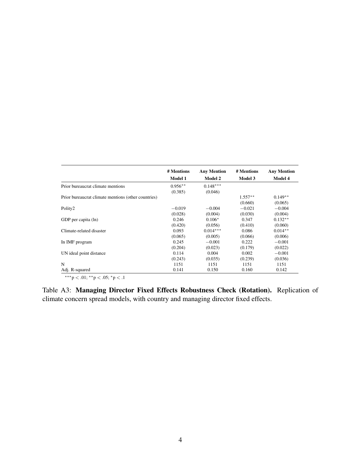<span id="page-36-0"></span>

|                                                     | # Mentions     | <b>Any Mention</b> | # Mentions     | <b>Any Mention</b> |
|-----------------------------------------------------|----------------|--------------------|----------------|--------------------|
|                                                     | <b>Model 1</b> | <b>Model 2</b>     | <b>Model 3</b> | <b>Model 4</b>     |
| Prior bureaucrat climate mentions                   | $0.956**$      | $0.148***$         |                |                    |
|                                                     | (0.385)        | (0.046)            |                |                    |
| Prior bureaucrat climate mentions (other countries) |                |                    | $1.557**$      | $0.149**$          |
|                                                     |                |                    | (0.660)        | (0.065)            |
| Polity2                                             | $-0.019$       | $-0.004$           | $-0.021$       | $-0.004$           |
|                                                     | (0.028)        | (0.004)            | (0.030)        | (0.004)            |
| GDP per capita (ln)                                 | 0.246          | $0.106*$           | 0.347          | $0.132**$          |
|                                                     | (0.420)        | (0.056)            | (0.410)        | (0.060)            |
| Climate-related disaster                            | 0.093          | $0.014***$         | 0.086          | $0.014**$          |
|                                                     | (0.065)        | (0.005)            | (0.066)        | (0.006)            |
| In IMF program                                      | 0.245          | $-0.001$           | 0.222          | $-0.001$           |
|                                                     | (0.204)        | (0.023)            | (0.179)        | (0.022)            |
| UN ideal point distance                             | 0.114          | 0.004              | 0.002          | $-0.001$           |
|                                                     | (0.243)        | (0.035)            | (0.239)        | (0.036)            |
| N                                                   | 1151           | 1151               | 1151           | 1151               |
| Adj. R-squared                                      | 0.141          | 0.150              | 0.160          | 0.142              |

∗∗∗p < .01; ∗∗p < .05; <sup>∗</sup>p < .1

Table A3: Managing Director Fixed Effects Robustness Check (Rotation). Replication of climate concern spread models, with country and managing director fixed effects.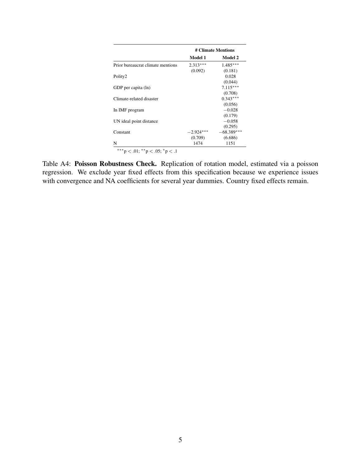<span id="page-37-0"></span>

|                                           | # Climate Mentions |              |
|-------------------------------------------|--------------------|--------------|
|                                           | Model 1            | Model 2      |
| Prior bureaucrat climate mentions         | $2.313***$         | $1.485***$   |
|                                           | (0.092)            | (0.181)      |
| Polity2                                   |                    | 0.028        |
|                                           |                    | (0.044)      |
| GDP per capita (ln)                       |                    | $7.115***$   |
|                                           |                    | (0.708)      |
| Climate-related disaster                  |                    | $0.343***$   |
|                                           |                    | (0.056)      |
| In IMF program                            |                    | $-0.028$     |
|                                           |                    | (0.179)      |
| UN ideal point distance                   |                    | $-0.058$     |
|                                           |                    | (0.295)      |
| Constant                                  | $-2.924***$        | $-68.389***$ |
|                                           | (0.709)            | (6.686)      |
| N                                         | 1474               | 1151         |
| ***p $< 0.01$ ; **p $< 0.05$ ; *p $< 0.1$ |                    |              |

Table A4: Poisson Robustness Check. Replication of rotation model, estimated via a poisson regression. We exclude year fixed effects from this specification because we experience issues with convergence and NA coefficients for several year dummies. Country fixed effects remain.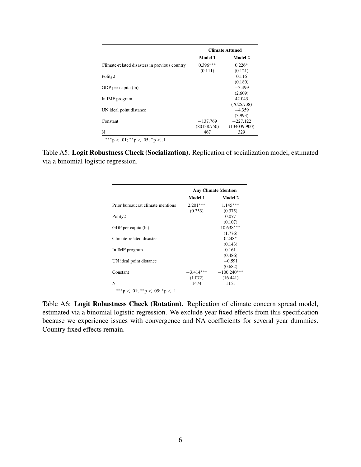<span id="page-38-0"></span>

|                                               | <b>Climate Attuned</b> |                |  |
|-----------------------------------------------|------------------------|----------------|--|
|                                               | <b>Model 1</b>         | <b>Model 2</b> |  |
| Climate-related disasters in previous country | $0.396***$             | $0.226*$       |  |
|                                               | (0.111)                | (0.121)        |  |
| Polity2                                       |                        | 0.116          |  |
|                                               |                        | (0.180)        |  |
| GDP per capita (ln)                           |                        | $-3.499$       |  |
|                                               |                        | (2.609)        |  |
| In IMF program                                |                        | 42.043         |  |
|                                               |                        | (7625.738)     |  |
| UN ideal point distance                       |                        | $-4.359$       |  |
|                                               |                        | (3.993)        |  |
| Constant                                      | $-137.769$             | $-227.122$     |  |
|                                               | (80138.750)            | (134039.900)   |  |
| N                                             | 467                    | 329            |  |

∗∗∗p < .01; ∗∗p < .05; <sup>∗</sup>p < .1

<span id="page-38-1"></span>Table A5: Logit Robustness Check (Socialization). Replication of socialization model, estimated via a binomial logistic regression.

|                                   | <b>Any Climate Mention</b> |                |  |
|-----------------------------------|----------------------------|----------------|--|
|                                   | <b>Model 1</b>             | <b>Model 2</b> |  |
| Prior bureaucrat climate mentions | $2.201***$                 | $1.145***$     |  |
|                                   | (0.253)                    | (0.375)        |  |
| Polity2                           |                            | 0.077          |  |
|                                   |                            | (0.107)        |  |
| GDP per capita (ln)               |                            | $10.638***$    |  |
|                                   |                            | (1.776)        |  |
| Climate-related disaster          |                            | $0.248*$       |  |
|                                   |                            | (0.143)        |  |
| In IMF program                    |                            | 0.161          |  |
|                                   |                            | (0.486)        |  |
| UN ideal point distance           |                            | $-0.591$       |  |
|                                   |                            | (0.682)        |  |
| Constant                          | $-3.414***$                | $-100.240***$  |  |
|                                   | (1.072)                    | (16.441)       |  |
| N                                 | 1474                       | 1151           |  |

 $\rm{^{***}}p<.01;$   $\rm{^{**}}p<.05;$   $\rm{^*}p<.1$ 

Table A6: Logit Robustness Check (Rotation). Replication of climate concern spread model, estimated via a binomial logistic regression. We exclude year fixed effects from this specification because we experience issues with convergence and NA coefficients for several year dummies. Country fixed effects remain.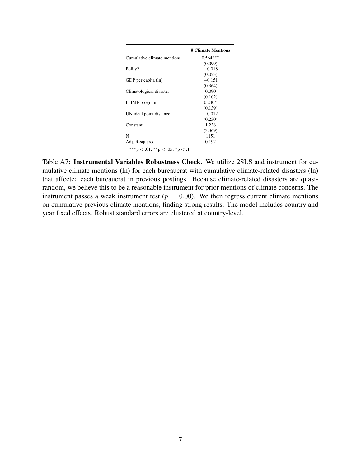<span id="page-39-0"></span>

|                                | # Climate Mentions |
|--------------------------------|--------------------|
| Cumulative climate mentions    | $0.564***$         |
|                                | (0.099)            |
| Polity2                        | $-0.018$           |
|                                | (0.023)            |
| GDP per capita (ln)            | $-0.151$           |
|                                | (0.364)            |
| Climatological disaster        | 0.090              |
|                                | (0.102)            |
| In IMF program                 | $0.240*$           |
|                                | (0.139)            |
| UN ideal point distance        | $-0.012$           |
|                                | (0.230)            |
| Constant                       | 1.238              |
|                                | (3.369)            |
| N                              | 1151               |
| Adj. R-squared                 | 0.192              |
| ***p < .01; **p < .05; *p < .1 |                    |

Table A7: Instrumental Variables Robustness Check. We utilize 2SLS and instrument for cumulative climate mentions (ln) for each bureaucrat with cumulative climate-related disasters (ln) that affected each bureaucrat in previous postings. Because climate-related disasters are quasirandom, we believe this to be a reasonable instrument for prior mentions of climate concerns. The instrument passes a weak instrument test ( $p = 0.00$ ). We then regress current climate mentions on cumulative previous climate mentions, finding strong results. The model includes country and year fixed effects. Robust standard errors are clustered at country-level.